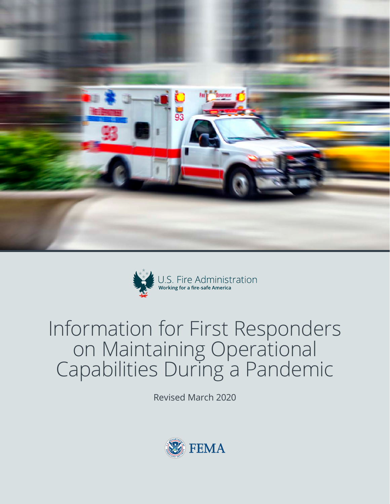



# Information for First Responders on Maintaining Operational Capabilities During a Pandemic

Revised March 2020

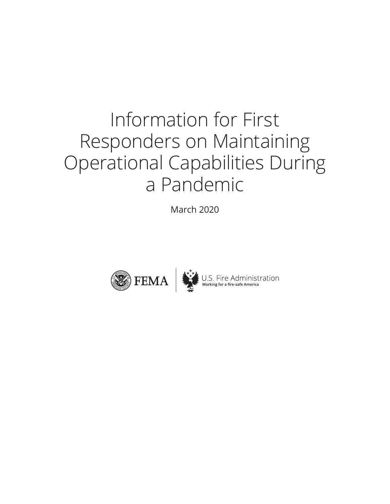# Information for First Responders on Maintaining Operational Capabilities During a Pandemic

March 2020

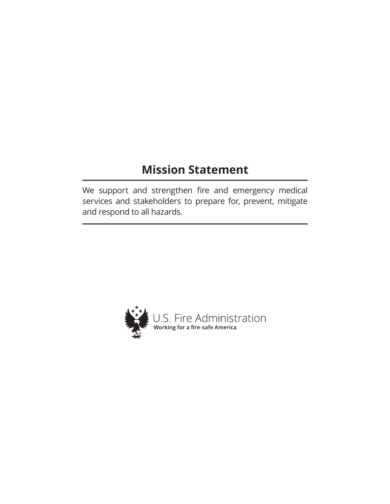## **Mission Statement**

We support and strengthen fire and emergency medical services and stakeholders to prepare for, prevent, mitigate and respond to all hazards.

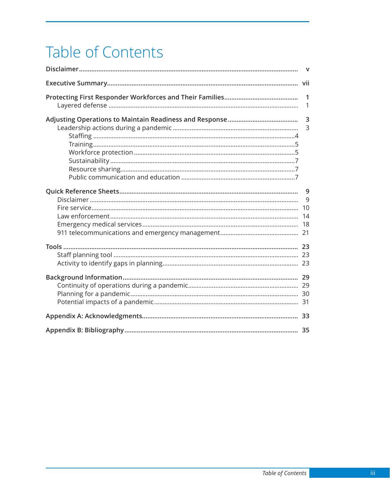# Table of Contents

|  | $\mathsf{v}$        |
|--|---------------------|
|  |                     |
|  | $\mathbf 1$<br>1    |
|  | 3<br>$\overline{3}$ |
|  | 9<br>9              |
|  |                     |
|  |                     |
|  |                     |
|  |                     |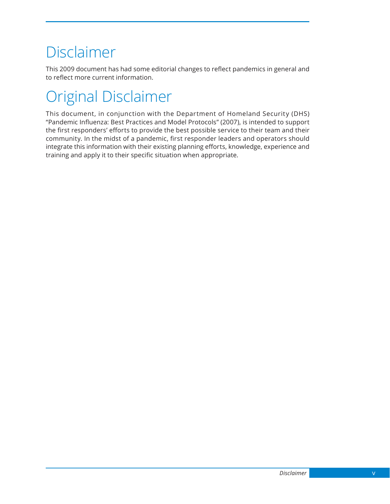## <span id="page-8-0"></span>Disclaimer

This 2009 document has had some editorial changes to reflect pandemics in general and to reflect more current information.

# Original Disclaimer

This document, in conjunction with the Department of Homeland Security (DHS) "Pandemic Influenza: Best Practices and Model Protocols" (2007), is intended to support the first responders' efforts to provide the best possible service to their team and their community. In the midst of a pandemic, first responder leaders and operators should integrate this information with their existing planning efforts, knowledge, experience and training and apply it to their specific situation when appropriate.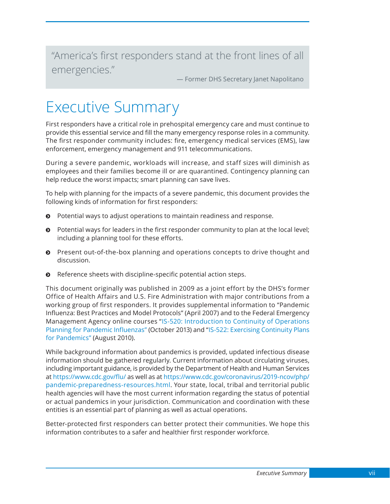<span id="page-10-0"></span>"America's first responders stand at the front lines of all emergencies."

— Former DHS Secretary Janet Napolitano

## Executive Summary

First responders have a critical role in prehospital emergency care and must continue to provide this essential service and fill the many emergency response roles in a community. The first responder community includes: fire, emergency medical services (EMS), law enforcement, emergency management and 911 telecommunications.

During a severe pandemic, workloads will increase, and staff sizes will diminish as employees and their families become ill or are quarantined. Contingency planning can help reduce the worst impacts; smart planning can save lives.

To help with planning for the impacts of a severe pandemic, this document provides the following kinds of information for first responders:

- $\odot$  Potential ways to adjust operations to maintain readiness and response.
- $\odot$  Potential ways for leaders in the first responder community to plan at the local level; including a planning tool for these efforts.
- $\odot$  Present out-of-the-box planning and operations concepts to drive thought and discussion.
- $\odot$  Reference sheets with discipline-specific potential action steps.

This document originally was published in 2009 as a joint effort by the DHS's former Office of Health Affairs and U.S. Fire Administration with major contributions from a working group of first responders. It provides supplemental information to "Pandemic Influenza: Best Practices and Model Protocols" (April 2007) and to the Federal Emergency Management Agency online courses "[IS-520: Introduction to Continuity of Operations](https://training.fema.gov/is/courseoverview.aspx?code=IS-520) [Planning for Pandemic Influenza](https://training.fema.gov/is/courseoverview.aspx?code=IS-520)s" (October 2013) and "[IS-522: Exercising Continuity Plans](https://training.fema.gov/is/courseoverview.aspx?code=IS-522)  [for Pandemics"](https://training.fema.gov/is/courseoverview.aspx?code=IS-522) (August 2010).

While background information about pandemics is provided, updated infectious disease information should be gathered regularly. Current information about circulating viruses, including important guidance, is provided by the Department of Health and Human Services at <https://www.cdc.gov/flu/>as well as at [https://www.cdc.gov/coronavirus/2019-ncov/php/](https://www.cdc.gov/coronavirus/2019-ncov/php/pandemic-preparedness-resources.html) [pandemic-preparedness-resources.html.](https://www.cdc.gov/coronavirus/2019-ncov/php/pandemic-preparedness-resources.html) Your state, local, tribal and territorial public health agencies will have the most current information regarding the status of potential or actual pandemics in your jurisdiction. Communication and coordination with these entities is an essential part of planning as well as actual operations.

Better-protected first responders can better protect their communities. We hope this information contributes to a safer and healthier first responder workforce.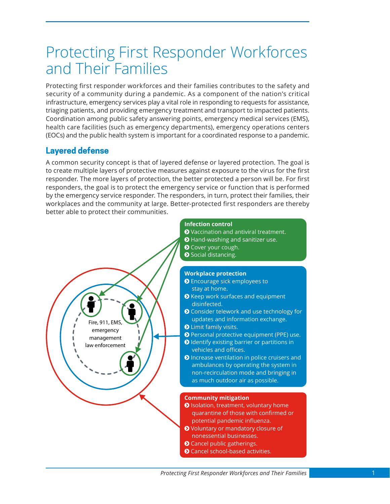## <span id="page-12-0"></span>Protecting First Responder Workforces and Their Families

Protecting first responder workforces and their families contributes to the safety and security of a community during a pandemic. As a component of the nation's critical infrastructure, emergency services play a vital role in responding to requests for assistance, triaging patients, and providing emergency treatment and transport to impacted patients. Coordination among public safety answering points, emergency medical services (EMS), health care facilities (such as emergency departments), emergency operations centers (EOCs) and the public health system is important for a coordinated response to a pandemic.

### **Layered defense**

Fire, 911, EMS, emergency management law enforcement

A common security concept is that of layered defense or layered protection. The goal is to create multiple layers of protective measures against exposure to the virus for the first responder. The more layers of protection, the better protected a person will be. For first responders, the goal is to protect the emergency service or function that is performed by the emergency service responder. The responders, in turn, protect their families, their workplaces and the community at large. Better-protected first responders are thereby better able to protect their communities.



- **O** Vaccination and antiviral treatment.
- **◆** Hand-washing and sanitizer use.
- **O** Cover your cough.
- **O** Social distancing.

#### **Workplace protection**

- **O** Encourage sick employees to stay at home.
- **O** Keep work surfaces and equipment disinfected.
- **O** Consider telework and use technology for updates and information exchange.
- **O** Limit family visits.
- **O** Personal protective equipment (PPE) use.
- **O** Identify existing barrier or partitions in vehicles and offices.
- **O** Increase ventilation in police cruisers and ambulances by operating the system in non-recirculation mode and bringing in as much outdoor air as possible.

#### **Community mitigation**

- **O** Isolation, treatment, voluntary home quarantine of those with confirmed or potential pandemic influenza.
- **O** Voluntary or mandatory closure of nonessential businesses.
- **O** Cancel public gatherings.
- **O** Cancel school-based activities.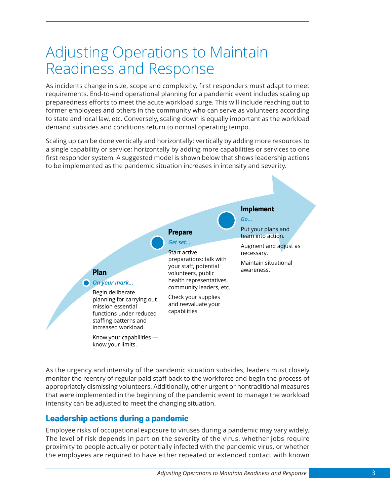## <span id="page-14-0"></span>Adjusting Operations to Maintain Readiness and Response

As incidents change in size, scope and complexity, first responders must adapt to meet requirements. End-to-end operational planning for a pandemic event includes scaling up preparedness efforts to meet the acute workload surge. This will include reaching out to former employees and others in the community who can serve as volunteers according to state and local law, etc. Conversely, scaling down is equally important as the workload demand subsides and conditions return to normal operating tempo.

Scaling up can be done vertically and horizontally: vertically by adding more resources to a single capability or service; horizontally by adding more capabilities or services to one first responder system. A suggested model is shown below that shows leadership actions to be implemented as the pandemic situation increases in intensity and severity.



As the urgency and intensity of the pandemic situation subsides, leaders must closely monitor the reentry of regular paid staff back to the workforce and begin the process of appropriately dismissing volunteers. Additionally, other urgent or nontraditional measures that were implemented in the beginning of the pandemic event to manage the workload intensity can be adjusted to meet the changing situation.

### **Leadership actions during a pandemic**

Employee risks of occupational exposure to viruses during a pandemic may vary widely. The level of risk depends in part on the severity of the virus, whether jobs require proximity to people actually or potentially infected with the pandemic virus, or whether the employees are required to have either repeated or extended contact with known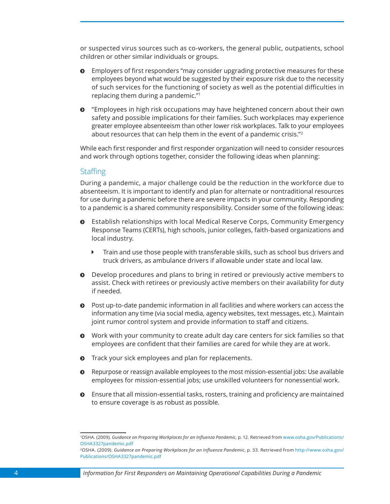<span id="page-15-0"></span>or suspected virus sources such as co-workers, the general public, outpatients, school children or other similar individuals or groups.

- $\odot$  Employers of first responders "may consider upgrading protective measures for these employees beyond what would be suggested by their exposure risk due to the necessity of such services for the functioning of society as well as the potential difficulties in replacing them during a pandemic."<sup>1</sup>
- ĵ "Employees in high risk occupations may have heightened concern about their own safety and possible implications for their families. Such workplaces may experience greater employee absenteeism than other lower risk workplaces. Talk to your employees about resources that can help them in the event of a pandemic crisis."<sup>2</sup>

While each first responder and first responder organization will need to consider resources and work through options together, consider the following ideas when planning:

#### **Staffing**

During a pandemic, a major challenge could be the reduction in the workforce due to absenteeism. It is important to identify and plan for alternate or nontraditional resources for use during a pandemic before there are severe impacts in your community. Responding to a pandemic is a shared community responsibility. Consider some of the following ideas:

- $\odot$  Establish relationships with local Medical Reserve Corps, Community Emergency Response Teams (CERTs), high schools, junior colleges, faith-based organizations and local industry.
	- $\blacktriangleright$  Train and use those people with transferable skills, such as school bus drivers and truck drivers, as ambulance drivers if allowable under state and local law.
- $\odot$  Develop procedures and plans to bring in retired or previously active members to assist. Check with retirees or previously active members on their availability for duty if needed.
- $\odot$  Post up-to-date pandemic information in all facilities and where workers can access the information any time (via social media, agency websites, text messages, etc.). Maintain joint rumor control system and provide information to staff and citizens.
- ĵ Work with your community to create adult day care centers for sick families so that employees are confident that their families are cared for while they are at work.
- $\odot$  Track your sick employees and plan for replacements.
- ĵ Repurpose or reassign available employees to the most mission-essential jobs: Use available employees for mission-essential jobs; use unskilled volunteers for nonessential work.
- $\odot$  Ensure that all mission-essential tasks, rosters, training and proficiency are maintained to ensure coverage is as robust as possible.

<sup>1</sup> OSHA. (2009). *Guidance on Preparing Workplaces for an Influenza Pandemic,* p. 12. Retrieved from [www.osha.gov/Publications/](http://www.osha.gov/Publications/OSHA3327pandemic.pdf) [OSHA3327pandemic.pdf](http://www.osha.gov/Publications/OSHA3327pandemic.pdf)

<sup>2</sup>OSHA. (2009). *Guidance on Preparing Workplaces for an Influenza Pandemic*, p. 33. Retrieved from [http://www.osha.gov/](http://www.osha.gov/Publications/OSHA3327pandemic.pdf) [Publications/OSHA3327pandemic.pdf](http://www.osha.gov/Publications/OSHA3327pandemic.pdf)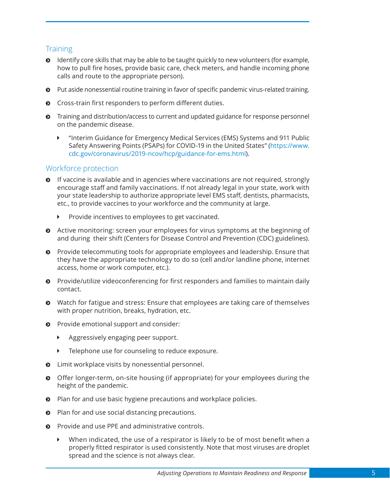### <span id="page-16-0"></span>**Training**

- $\odot$  Identify core skills that may be able to be taught quickly to new volunteers (for example, how to pull fire hoses, provide basic care, check meters, and handle incoming phone calls and route to the appropriate person).
- ĵ Put aside nonessential routine training in favor of specific pandemic virus-related training.
- $\odot$  Cross-train first responders to perform different duties.
- $\odot$  Training and distribution/access to current and updated guidance for response personnel on the pandemic disease.
	- **EXECT "Interim Guidance for Emergency Medical Services (EMS) Systems and 911 Public** Safety Answering Points (PSAPs) for COVID-19 in the United States" ([https://www.](https://www.cdc.gov/coronavirus/2019-ncov/hcp/guidance-for-ems.html) [cdc.gov/coronavirus/2019-ncov/hcp/guidance-for-ems.html](https://www.cdc.gov/coronavirus/2019-ncov/hcp/guidance-for-ems.html)).

#### Workforce protection

- $\odot$  If vaccine is available and in agencies where vaccinations are not required, strongly encourage staff and family vaccinations. If not already legal in your state, work with your state leadership to authorize appropriate level EMS staff, dentists, pharmacists, etc., to provide vaccines to your workforce and the community at large.
	- Provide incentives to employees to get vaccinated.
- $\odot$  Active monitoring: screen your employees for virus symptoms at the beginning of and during their shift (Centers for Disease Control and Prevention (CDC) guidelines).
- $\odot$  Provide telecommuting tools for appropriate employees and leadership. Ensure that they have the appropriate technology to do so (cell and/or landline phone, internet access, home or work computer, etc.).
- $\odot$  Provide/utilize videoconferencing for first responders and families to maintain daily contact.
- ĵ Watch for fatigue and stress: Ensure that employees are taking care of themselves with proper nutrition, breaks, hydration, etc.
- $\odot$  Provide emotional support and consider:
	- Aggressively engaging peer support.
	- $\blacktriangleright$  Telephone use for counseling to reduce exposure.
- $\odot$  Limit workplace visits by nonessential personnel.
- **O** Offer longer-term, on-site housing (if appropriate) for your employees during the height of the pandemic.
- $\odot$  Plan for and use basic hygiene precautions and workplace policies.
- $\odot$  Plan for and use social distancing precautions.
- $\odot$  Provide and use PPE and administrative controls.
	- When indicated, the use of a respirator is likely to be of most benefit when a properly fitted respirator is used consistently. Note that most viruses are droplet spread and the science is not always clear.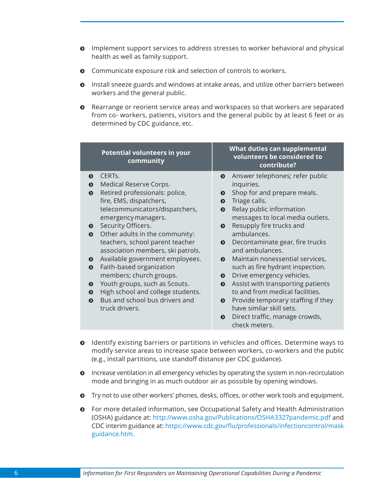- $\odot$  Implement support services to address stresses to worker behavioral and physical health as well as family support.
- $\odot$  Communicate exposure risk and selection of controls to workers.
- $\odot$  Install sneeze guards and windows at intake areas, and utilize other barriers between workers and the general public.
- ĵ Rearrange or reorient service areas and workspaces so that workers are separated from co- workers, patients, visitors and the general public by at least 6 feet or as determined by CDC guidance, etc.

|                                                                                                                                                                                                                                                                                                             | <b>Potential volunteers in your</b><br>community                                                                                                                                                                                                                                                                                                                             |                                                                                                                                                                         | What duties can supplemental<br>volunteers be considered to<br>contribute?                                                                                                                                                                                                                                                                                                                                                                                                                                                                                      |
|-------------------------------------------------------------------------------------------------------------------------------------------------------------------------------------------------------------------------------------------------------------------------------------------------------------|------------------------------------------------------------------------------------------------------------------------------------------------------------------------------------------------------------------------------------------------------------------------------------------------------------------------------------------------------------------------------|-------------------------------------------------------------------------------------------------------------------------------------------------------------------------|-----------------------------------------------------------------------------------------------------------------------------------------------------------------------------------------------------------------------------------------------------------------------------------------------------------------------------------------------------------------------------------------------------------------------------------------------------------------------------------------------------------------------------------------------------------------|
| CERTs.<br>$\boldsymbol{\Theta}$<br>Medical Reserve Corps.<br>$\mathbf{o}$<br>$\boldsymbol{\Theta}$<br>fire, EMS, dispatchers,<br>emergency managers.<br>Security Officers.<br>$\bullet$<br>◐<br>$\boldsymbol{\Theta}$<br>$\boldsymbol{\Theta}$<br>$\boldsymbol{\Theta}$<br>◐<br>$\bullet$<br>truck drivers. | Retired professionals: police,<br>telecommunicators/dispatchers,<br>Other adults in the community:<br>teachers, school parent teacher<br>association members, ski patrols.<br>Available government employees.<br>Faith-based organization<br>members; church groups.<br>Youth groups, such as Scouts.<br>High school and college students.<br>Bus and school bus drivers and | $\boldsymbol{\Theta}$<br>$\bullet$<br>$\bullet$<br>$\bullet$<br>◐<br>$\bullet$<br>$\boldsymbol{\Omega}$<br>$\bullet$<br>$\bullet$<br>$\bullet$<br>$\boldsymbol{\Theta}$ | Answer telephones; refer public<br>inquiries.<br>Shop for and prepare meals.<br>Triage calls.<br>Relay public information<br>messages to local media outlets.<br>Resupply fire trucks and<br>ambulances.<br>Decontaminate gear, fire trucks<br>and ambulances.<br>Maintain nonessential services,<br>such as fire hydrant inspection.<br>Drive emergency vehicles.<br>Assist with transporting patients<br>to and from medical facilities.<br>Provide temporary staffing if they<br>have similar skill sets.<br>Direct traffic, manage crowds,<br>check meters. |

- ĵ Identify existing barriers or partitions in vehicles and offices. Determine ways to modify service areas to increase space between workers, co-workers and the public (e.g., install partitions, use standoff distance per CDC guidance).
- $\odot$  Increase ventilation in all emergency vehicles by operating the system in non-recirculation mode and bringing in as much outdoor air as possible by opening windows.
- $\bullet$  Try not to use other workers' phones, desks, offices, or other work tools and equipment.
- $\odot$  For more detailed information, see Occupational Safety and Health Administration (OSHA) guidance at: <http://www.osha.gov/Publications/OSHA3327pandemic.pdf> and CDC interim guidance at[: https://www.cdc.gov/flu/professionals/infectioncontrol/mask](https://www.cdc.gov/flu/professionals/infectioncontrol/maskguidance.htm) [guidance.htm.](https://www.cdc.gov/flu/professionals/infectioncontrol/maskguidance.htm)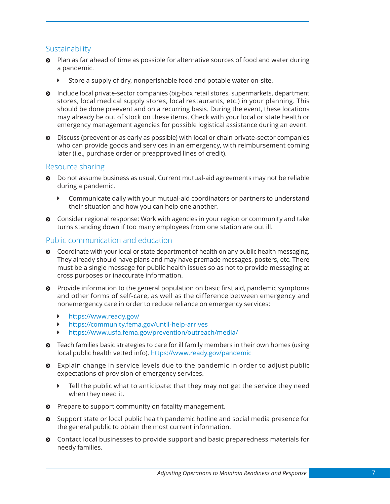#### <span id="page-18-0"></span>Sustainability

- $\odot$  Plan as far ahead of time as possible for alternative sources of food and water during a pandemic.
	- Store a supply of dry, nonperishable food and potable water on-site.
- $\odot$  Include local private-sector companies (big-box retail stores, supermarkets, department stores, local medical supply stores, local restaurants, etc.) in your planning. This should be done preevent and on a recurring basis. During the event, these locations may already be out of stock on these items. Check with your local or state health or emergency management agencies for possible logistical assistance during an event.
- $\odot$  Discuss (preevent or as early as possible) with local or chain private-sector companies who can provide goods and services in an emergency, with reimbursement coming later (i.e., purchase order or preapproved lines of credit).

#### Resource sharing

- ĵ Do not assume business as usual. Current mutual-aid agreements may not be reliable during a pandemic.
	- $\blacktriangleright$  Communicate daily with your mutual-aid coordinators or partners to understand their situation and how you can help one another.
- $\odot$  Consider regional response: Work with agencies in your region or community and take turns standing down if too many employees from one station are out ill.

#### Public communication and education

- **•** Coordinate with your local or state department of health on any public health messaging. They already should have plans and may have premade messages, posters, etc. There must be a single message for public health issues so as not to provide messaging at cross purposes or inaccurate information.
- $\odot$  Provide information to the general population on basic first aid, pandemic symptoms and other forms of self-care, as well as the difference between emergency and nonemergency care in order to reduce reliance on emergency services:
	- Ý <https://www.ready.gov/>
	- <https://community.fema.gov/until-help-arrives>
	- Ý <https://www.usfa.fema.gov/prevention/outreach/media/>
- **•** Teach families basic strategies to care for ill family members in their own homes (using local public health vetted info). <https://www.ready.gov/pandemic>
- $\odot$  Explain change in service levels due to the pandemic in order to adjust public expectations of provision of emergency services.
	- $\blacktriangleright$  Tell the public what to anticipate: that they may not get the service they need when they need it.
- $\odot$  Prepare to support community on fatality management.
- $\odot$  Support state or local public health pandemic hotline and social media presence for the general public to obtain the most current information.
- $\odot$  Contact local businesses to provide support and basic preparedness materials for needy families.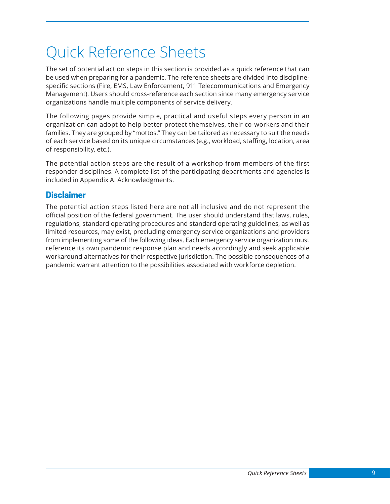# <span id="page-20-0"></span>Quick Reference Sheets

The set of potential action steps in this section is provided as a quick reference that can be used when preparing for a pandemic. The reference sheets are divided into disciplinespecific sections (Fire, EMS, Law Enforcement, 911 Telecommunications and Emergency Management). Users should cross-reference each section since many emergency service organizations handle multiple components of service delivery.

The following pages provide simple, practical and useful steps every person in an organization can adopt to help better protect themselves, their co-workers and their families. They are grouped by "mottos." They can be tailored as necessary to suit the needs of each service based on its unique circumstances (e.g., workload, staffing, location, area of responsibility, etc.).

The potential action steps are the result of a workshop from members of the first responder disciplines. A complete list of the participating departments and agencies is included in Appendix A: Acknowledgments.

### **Disclaimer**

The potential action steps listed here are not all inclusive and do not represent the official position of the federal government. The user should understand that laws, rules, regulations, standard operating procedures and standard operating guidelines, as well as limited resources, may exist, precluding emergency service organizations and providers from implementing some of the following ideas. Each emergency service organization must reference its own pandemic response plan and needs accordingly and seek applicable workaround alternatives for their respective jurisdiction. The possible consequences of a pandemic warrant attention to the possibilities associated with workforce depletion.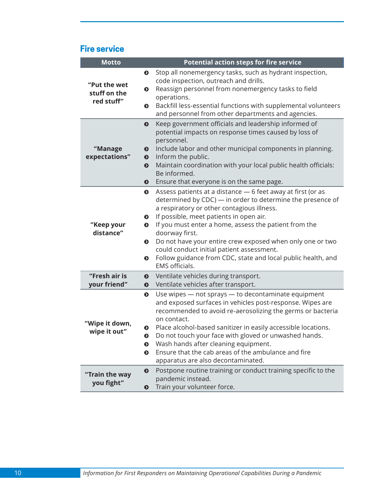### **Fire service**

| <b>Motto</b>                               | <b>Potential action steps for fire service</b>                                                                                                                                                                                                                                                                                                                                                                                                                                                                                            |
|--------------------------------------------|-------------------------------------------------------------------------------------------------------------------------------------------------------------------------------------------------------------------------------------------------------------------------------------------------------------------------------------------------------------------------------------------------------------------------------------------------------------------------------------------------------------------------------------------|
| "Put the wet<br>stuff on the<br>red stuff" | Stop all nonemergency tasks, such as hydrant inspection,<br>◐<br>code inspection, outreach and drills.<br>Reassign personnel from nonemergency tasks to field<br>◐<br>operations.<br>Backfill less-essential functions with supplemental volunteers<br>$\bullet$<br>and personnel from other departments and agencies.                                                                                                                                                                                                                    |
| "Manage<br>expectations"                   | Keep government officials and leadership informed of<br>$\bullet$<br>potential impacts on response times caused by loss of<br>personnel.<br>Include labor and other municipal components in planning.<br>$\boldsymbol{\Theta}$<br>Inform the public.<br>$\bullet$<br>Maintain coordination with your local public health officials:<br>$\bullet$<br>Be informed.<br>Ensure that everyone is on the same page.<br>$\boldsymbol{\Theta}$                                                                                                    |
| "Keep your<br>distance"                    | Assess patients at a distance - 6 feet away at first (or as<br>$\bullet$<br>determined by CDC) - in order to determine the presence of<br>a respiratory or other contagious illness.<br>If possible, meet patients in open air.<br>◐<br>If you must enter a home, assess the patient from the<br>$\bullet$<br>doorway first.<br>Do not have your entire crew exposed when only one or two<br>◐<br>could conduct initial patient assessment.<br>Follow guidance from CDC, state and local public health, and<br>◐<br><b>EMS</b> officials. |
| "Fresh air is<br>your friend"              | Ventilate vehicles during transport.<br>$\boldsymbol{\Theta}$<br>Ventilate vehicles after transport.<br>◐                                                                                                                                                                                                                                                                                                                                                                                                                                 |
| "Wipe it down,<br>wipe it out"             | Use wipes - not sprays - to decontaminate equipment<br>$\bullet$<br>and exposed surfaces in vehicles post-response. Wipes are<br>recommended to avoid re-aerosolizing the germs or bacteria<br>on contact.<br>Place alcohol-based sanitizer in easily accessible locations.<br>$\bullet$<br>Do not touch your face with gloved or unwashed hands.<br>◐<br>Wash hands after cleaning equipment.<br>$\bullet$<br>Ensure that the cab areas of the ambulance and fire<br>$\bullet$<br>apparatus are also decontaminated.                     |
| "Train the way<br>you fight"               | Postpone routine training or conduct training specific to the<br>$\bullet$<br>pandemic instead.<br>Train your volunteer force.<br>❸                                                                                                                                                                                                                                                                                                                                                                                                       |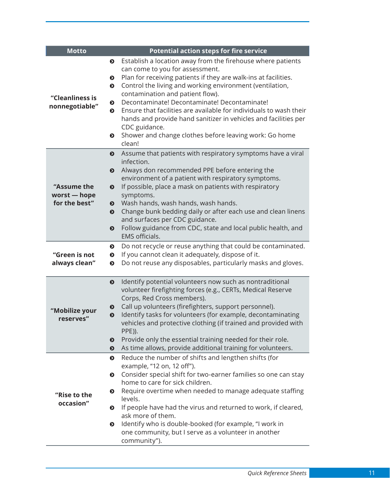| <b>Motto</b>                                 | <b>Potential action steps for fire service</b>                                                                                                                                                                                                                                                                                                                                                                                                                                                                                                                                        |
|----------------------------------------------|---------------------------------------------------------------------------------------------------------------------------------------------------------------------------------------------------------------------------------------------------------------------------------------------------------------------------------------------------------------------------------------------------------------------------------------------------------------------------------------------------------------------------------------------------------------------------------------|
| "Cleanliness is<br>nonnegotiable"            | Establish a location away from the firehouse where patients<br>$\bullet$<br>can come to you for assessment.<br>Plan for receiving patients if they are walk-ins at facilities.<br>๏<br>Control the living and working environment (ventilation,<br>๏<br>contamination and patient flow).<br>Decontaminate! Decontaminate! Decontaminate!<br>◐<br>Ensure that facilities are available for individuals to wash their<br>◐<br>hands and provide hand sanitizer in vehicles and facilities per<br>CDC guidance.<br>Shower and change clothes before leaving work: Go home<br>◐<br>clean! |
| "Assume the<br>worst - hope<br>for the best" | Assume that patients with respiratory symptoms have a viral<br>$\bullet$<br>infection.<br>Always don recommended PPE before entering the<br>❸<br>environment of a patient with respiratory symptoms.<br>If possible, place a mask on patients with respiratory<br>$\bullet$<br>symptoms.<br>Wash hands, wash hands, wash hands.<br>Change bunk bedding daily or after each use and clean linens<br>$\bullet$<br>and surfaces per CDC guidance.<br>Follow guidance from CDC, state and local public health, and<br>$\bullet$<br>EMS officials.                                         |
| "Green is not<br>always clean"               | Do not recycle or reuse anything that could be contaminated.<br>◐<br>If you cannot clean it adequately, dispose of it.<br>◐<br>Do not reuse any disposables, particularly masks and gloves.<br>$\bullet$                                                                                                                                                                                                                                                                                                                                                                              |
| "Mobilize your<br>reserves"                  | Identify potential volunteers now such as nontraditional<br>$\bullet$<br>volunteer firefighting forces (e.g., CERTs, Medical Reserve<br>Corps, Red Cross members).<br>Call up volunteers (firefighters, support personnel).<br>$\bullet$<br>Identify tasks for volunteers (for example, decontaminating<br>$\bullet$<br>vehicles and protective clothing (if trained and provided with<br>PPE)).<br>Provide only the essential training needed for their role.<br>$\bullet$<br>As time allows, provide additional training for volunteers.<br>$\bullet$                               |
| "Rise to the<br>occasion"                    | Reduce the number of shifts and lengthen shifts (for<br>$\bullet$<br>example, "12 on, 12 off").<br>Consider special shift for two-earner families so one can stay<br>◐<br>home to care for sick children.<br>Require overtime when needed to manage adequate staffing<br>◐<br>levels.<br>If people have had the virus and returned to work, if cleared,<br>◐<br>ask more of them.<br>Identify who is double-booked (for example, "I work in<br>◐<br>one community, but I serve as a volunteer in another<br>community").                                                              |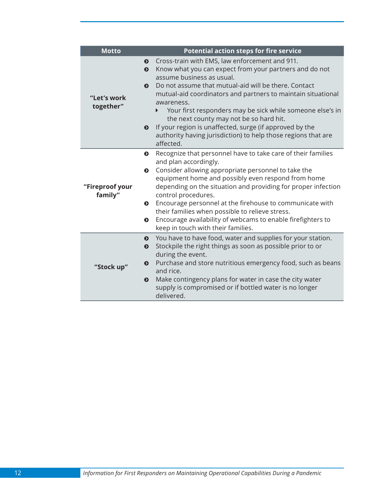| <b>Motto</b>               | <b>Potential action steps for fire service</b>                                                                                                                                                                                                                                                                                                                                                                                                                                                                                                                                      |
|----------------------------|-------------------------------------------------------------------------------------------------------------------------------------------------------------------------------------------------------------------------------------------------------------------------------------------------------------------------------------------------------------------------------------------------------------------------------------------------------------------------------------------------------------------------------------------------------------------------------------|
| "Let's work<br>together"   | Cross-train with EMS, law enforcement and 911.<br>$\bullet$<br>Know what you can expect from your partners and do not<br>$\mathbf{o}$<br>assume business as usual.<br>Do not assume that mutual-aid will be there. Contact<br>$\bullet$<br>mutual-aid coordinators and partners to maintain situational<br>awareness.<br>Your first responders may be sick while someone else's in<br>the next county may not be so hard hit.<br>If your region is unaffected, surge (if approved by the<br>$\bullet$<br>authority having jurisdiction) to help those regions that are<br>affected. |
| "Fireproof your<br>family" | Recognize that personnel have to take care of their families<br>$\bullet$<br>and plan accordingly.<br>Consider allowing appropriate personnel to take the<br>$\mathbf{o}$<br>equipment home and possibly even respond from home<br>depending on the situation and providing for proper infection<br>control procedures.<br><b>O</b> Encourage personnel at the firehouse to communicate with<br>their families when possible to relieve stress.<br>Encourage availability of webcams to enable firefighters to<br>$\bullet$<br>keep in touch with their families.                   |
| "Stock up"                 | You have to have food, water and supplies for your station.<br>$\bullet$<br>Stockpile the right things as soon as possible prior to or<br>$\bullet$<br>during the event.<br>Purchase and store nutritious emergency food, such as beans<br>$\bullet$<br>and rice.<br>Make contingency plans for water in case the city water<br>$\boldsymbol{\Theta}$<br>supply is compromised or if bottled water is no longer<br>delivered.                                                                                                                                                       |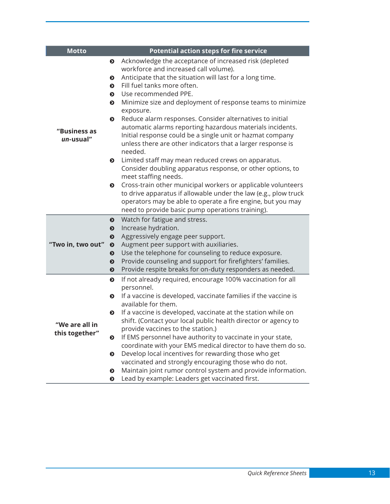<span id="page-24-0"></span>

| <b>Motto</b>      | <b>Potential action steps for fire service</b>                                                                    |
|-------------------|-------------------------------------------------------------------------------------------------------------------|
|                   | Acknowledge the acceptance of increased risk (depleted<br>$\bullet$                                               |
|                   | workforce and increased call volume).                                                                             |
|                   | Anticipate that the situation will last for a long time.<br>$\bullet$                                             |
|                   | Fill fuel tanks more often.<br>◐                                                                                  |
|                   | Use recommended PPE.<br>◐                                                                                         |
|                   | Minimize size and deployment of response teams to minimize<br>$\bullet$<br>exposure.                              |
|                   | Reduce alarm responses. Consider alternatives to initial<br>$\bullet$                                             |
| "Business as      | automatic alarms reporting hazardous materials incidents.                                                         |
| un-usual"         | Initial response could be a single unit or hazmat company                                                         |
|                   | unless there are other indicators that a larger response is                                                       |
|                   | needed.                                                                                                           |
|                   | Limited staff may mean reduced crews on apparatus.<br>$\bullet$                                                   |
|                   | Consider doubling apparatus response, or other options, to                                                        |
|                   | meet staffing needs.                                                                                              |
|                   | Cross-train other municipal workers or applicable volunteers<br>$\bullet$                                         |
|                   | to drive apparatus if allowable under the law (e.g., plow truck                                                   |
|                   | operators may be able to operate a fire engine, but you may                                                       |
|                   | need to provide basic pump operations training).                                                                  |
|                   | Watch for fatigue and stress.<br>$\bullet$                                                                        |
|                   | Increase hydration.<br>$\bullet$                                                                                  |
| "Two in, two out" | Aggressively engage peer support.<br>$\boldsymbol{\Theta}$<br>Augment peer support with auxiliaries.<br>$\bullet$ |
|                   | Use the telephone for counseling to reduce exposure.<br>$\bullet$                                                 |
|                   | Provide counseling and support for firefighters' families.<br>$\bullet$                                           |
|                   | Provide respite breaks for on-duty responders as needed.<br>$\bullet$                                             |
|                   | If not already required, encourage 100% vaccination for all<br>$\bullet$                                          |
|                   | personnel.                                                                                                        |
|                   | If a vaccine is developed, vaccinate families if the vaccine is<br>$\bullet$                                      |
|                   | available for them.                                                                                               |
|                   | If a vaccine is developed, vaccinate at the station while on<br>$\bullet$                                         |
| "We are all in    | shift. (Contact your local public health director or agency to                                                    |
| this together"    | provide vaccines to the station.)                                                                                 |
|                   | If EMS personnel have authority to vaccinate in your state,<br>◐                                                  |
|                   | coordinate with your EMS medical director to have them do so.                                                     |
|                   | Develop local incentives for rewarding those who get<br>◐                                                         |
|                   | vaccinated and strongly encouraging those who do not.                                                             |
|                   | Maintain joint rumor control system and provide information.<br>$\bullet$                                         |
|                   | Lead by example: Leaders get vaccinated first.<br>$\bullet$                                                       |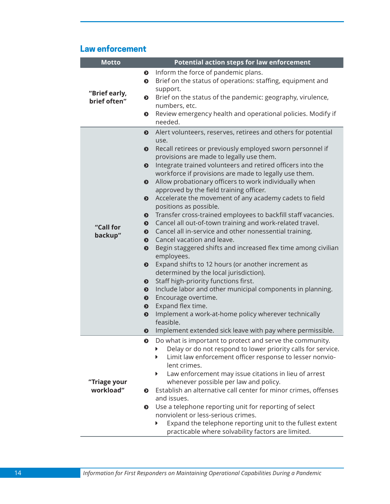### **Law enforcement**

| <b>Motto</b>                  | <b>Potential action steps for law enforcement</b>                                                                                                                                                                                                                                                                                                                                                                                                                                                                                                                                                                                                                                                                                                                                                                                                                                                                                                                                                                                                                                                                                                                                                                                                                                                                          |
|-------------------------------|----------------------------------------------------------------------------------------------------------------------------------------------------------------------------------------------------------------------------------------------------------------------------------------------------------------------------------------------------------------------------------------------------------------------------------------------------------------------------------------------------------------------------------------------------------------------------------------------------------------------------------------------------------------------------------------------------------------------------------------------------------------------------------------------------------------------------------------------------------------------------------------------------------------------------------------------------------------------------------------------------------------------------------------------------------------------------------------------------------------------------------------------------------------------------------------------------------------------------------------------------------------------------------------------------------------------------|
| "Brief early,<br>brief often" | Inform the force of pandemic plans.<br>$\bullet$<br>Brief on the status of operations: staffing, equipment and<br>$\bullet$<br>support.<br>Brief on the status of the pandemic: geography, virulence,<br>$\bullet$<br>numbers, etc.<br>Review emergency health and operational policies. Modify if<br>$\bullet$                                                                                                                                                                                                                                                                                                                                                                                                                                                                                                                                                                                                                                                                                                                                                                                                                                                                                                                                                                                                            |
|                               | needed.                                                                                                                                                                                                                                                                                                                                                                                                                                                                                                                                                                                                                                                                                                                                                                                                                                                                                                                                                                                                                                                                                                                                                                                                                                                                                                                    |
| "Call for<br>backup"          | Alert volunteers, reserves, retirees and others for potential<br>$\bullet$<br>use.<br>Recall retirees or previously employed sworn personnel if<br>$\bullet$<br>provisions are made to legally use them.<br>Integrate trained volunteers and retired officers into the<br>$\bullet$<br>workforce if provisions are made to legally use them.<br>Allow probationary officers to work individually when<br>$\bullet$<br>approved by the field training officer.<br>Accelerate the movement of any academy cadets to field<br>$\bullet$<br>positions as possible.<br>Transfer cross-trained employees to backfill staff vacancies.<br>$\bullet$<br>Cancel all out-of-town training and work-related travel.<br>$\bullet$<br>Cancel all in-service and other nonessential training.<br>$\bullet$<br>Cancel vacation and leave.<br>$\bullet$<br>Begin staggered shifts and increased flex time among civilian<br>$\bullet$<br>employees.<br>Expand shifts to 12 hours (or another increment as<br>$\bullet$<br>determined by the local jurisdiction).<br>Staff high-priority functions first.<br>$\bullet$<br>Include labor and other municipal components in planning.<br>$\bullet$<br>Encourage overtime.<br>$\bullet$<br>Expand flex time.<br>$\bullet$<br>Implement a work-at-home policy wherever technically<br>$\bullet$ |
|                               | feasible.                                                                                                                                                                                                                                                                                                                                                                                                                                                                                                                                                                                                                                                                                                                                                                                                                                                                                                                                                                                                                                                                                                                                                                                                                                                                                                                  |
|                               | Implement extended sick leave with pay where permissible.<br>$\bullet$                                                                                                                                                                                                                                                                                                                                                                                                                                                                                                                                                                                                                                                                                                                                                                                                                                                                                                                                                                                                                                                                                                                                                                                                                                                     |
| "Triage your<br>workload"     | Do what is important to protect and serve the community.<br>$\bullet$<br>Delay or do not respond to lower priority calls for service.<br>▶<br>Limit law enforcement officer response to lesser nonvio-<br>▶<br>lent crimes.<br>Law enforcement may issue citations in lieu of arrest<br>▶<br>whenever possible per law and policy.<br>Establish an alternative call center for minor crimes, offenses<br>◐<br>and issues.<br>Use a telephone reporting unit for reporting of select<br>$\bullet$<br>nonviolent or less-serious crimes.<br>Expand the telephone reporting unit to the fullest extent<br>▶                                                                                                                                                                                                                                                                                                                                                                                                                                                                                                                                                                                                                                                                                                                   |
|                               | practicable where solvability factors are limited.                                                                                                                                                                                                                                                                                                                                                                                                                                                                                                                                                                                                                                                                                                                                                                                                                                                                                                                                                                                                                                                                                                                                                                                                                                                                         |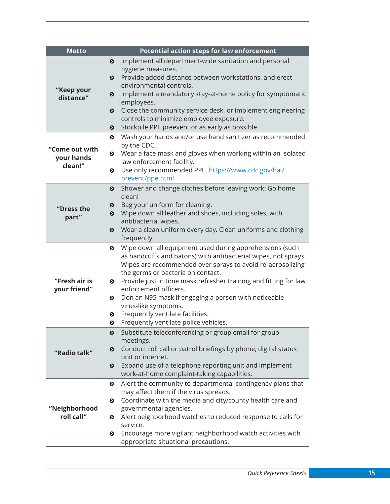| <b>Motto</b>   |                       | <b>Potential action steps for law enforcement</b>                                                     |
|----------------|-----------------------|-------------------------------------------------------------------------------------------------------|
|                | ◐                     | Implement all department-wide sanitation and personal                                                 |
|                |                       | hygiene measures.                                                                                     |
|                | $\bullet$             | Provide added distance between workstations, and erect<br>environmental controls.                     |
| "Keep your     | ◐                     | Implement a mandatory stay-at-home policy for symptomatic                                             |
| distance"      |                       | employees.                                                                                            |
|                | $\boldsymbol{\Theta}$ | Close the community service desk, or implement engineering                                            |
|                |                       | controls to minimize employee exposure.                                                               |
|                | $\bullet$             | Stockpile PPE preevent or as early as possible.                                                       |
|                | $\bullet$             | Wash your hands and/or use hand sanitizer as recommended                                              |
| "Come out with |                       | by the CDC.                                                                                           |
| your hands     |                       | • Wear a face mask and gloves when working within an isolated<br>law enforcement facility.            |
| clean!"        | $\bullet$             | Use only recommended PPE. https://www.cdc.gov/hai/                                                    |
|                |                       | prevent/ppe.html                                                                                      |
|                | $\bullet$             | Shower and change clothes before leaving work: Go home                                                |
|                |                       | clean!                                                                                                |
| "Dress the     | $\bullet$             | Bag your uniform for cleaning.                                                                        |
| part"          | ◐                     | Wipe down all leather and shoes, including soles, with                                                |
|                | $\bullet$             | antibacterial wipes.<br>Wear a clean uniform every day. Clean uniforms and clothing                   |
|                |                       | frequently.                                                                                           |
|                | $\bullet$             | Wipe down all equipment used during apprehensions (such                                               |
|                |                       | as handcuffs and batons) with antibacterial wipes, not sprays.                                        |
|                |                       | Wipes are recommended over sprays to avoid re-aerosolizing                                            |
|                |                       | the germs or bacteria on contact.                                                                     |
| "Fresh air is  |                       | • Provide just in time mask refresher training and fitting for law                                    |
| your friend"   |                       | enforcement officers.                                                                                 |
|                | ◐                     | Don an N95 mask if engaging a person with noticeable<br>virus-like symptoms.                          |
|                | $\bullet$             | Frequently ventilate facilities.                                                                      |
|                | ◐                     | Frequently ventilate police vehicles.                                                                 |
|                | ❸                     | Substitute teleconferencing or group email for group                                                  |
|                |                       | meetings.                                                                                             |
| "Radio talk"   | $\bullet$             | Conduct roll call or patrol briefings by phone, digital status                                        |
|                |                       | unit or internet.                                                                                     |
|                | $\bullet$             | Expand use of a telephone reporting unit and implement<br>work-at-home complaint-taking capabilities. |
|                | $\bullet$             | Alert the community to departmental contingency plans that                                            |
|                |                       | may affect them if the virus spreads.                                                                 |
|                | $\bullet$             | Coordinate with the media and city/county health care and                                             |
| "Neighborhood  |                       | governmental agencies.                                                                                |
| roll call"     | $\bullet$             | Alert neighborhood watches to reduced response to calls for                                           |
|                |                       | service.                                                                                              |
|                | ◐                     | Encourage more vigilant neighborhood watch activities with                                            |
|                |                       | appropriate situational precautions.                                                                  |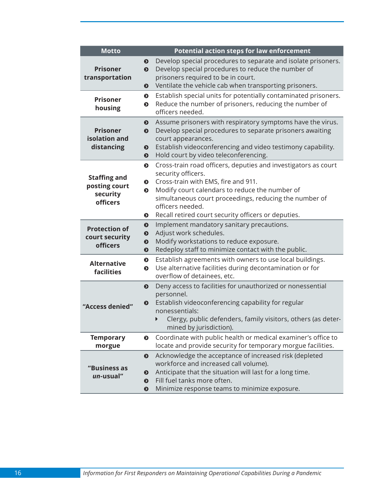<span id="page-27-0"></span>

| <b>Motto</b>                                                        | <b>Potential action steps for law enforcement</b>                                                                                                                                                                                                                                                                                                      |
|---------------------------------------------------------------------|--------------------------------------------------------------------------------------------------------------------------------------------------------------------------------------------------------------------------------------------------------------------------------------------------------------------------------------------------------|
| <b>Prisoner</b><br>transportation                                   | Develop special procedures to separate and isolate prisoners.<br>◐<br>Develop special procedures to reduce the number of<br>$\bullet$<br>prisoners required to be in court.<br>Ventilate the vehicle cab when transporting prisoners.<br>$\bullet$                                                                                                     |
| <b>Prisoner</b><br>housing                                          | Establish special units for potentially contaminated prisoners.<br>$\bullet$<br>Reduce the number of prisoners, reducing the number of<br>$\bullet$<br>officers needed.                                                                                                                                                                                |
| <b>Prisoner</b><br>isolation and<br>distancing                      | Assume prisoners with respiratory symptoms have the virus.<br>$\bullet$<br>Develop special procedures to separate prisoners awaiting<br>$\bullet$<br>court appearances.<br>Establish videoconferencing and video testimony capability.<br>$\bullet$<br>Hold court by video teleconferencing.<br>◐                                                      |
| <b>Staffing and</b><br>posting court<br>security<br><b>officers</b> | Cross-train road officers, deputies and investigators as court<br>$\bullet$<br>security officers.<br>Cross-train with EMS, fire and 911.<br>◐<br>Modify court calendars to reduce the number of<br>$\bullet$<br>simultaneous court proceedings, reducing the number of<br>officers needed.<br>Recall retired court security officers or deputies.<br>◐ |
| <b>Protection of</b><br>court security<br><b>officers</b>           | Implement mandatory sanitary precautions.<br>$\bullet$<br>Adjust work schedules.<br>$\bullet$<br>Modify workstations to reduce exposure.<br>$\bullet$<br>Redeploy staff to minimize contact with the public.<br>$\bullet$                                                                                                                              |
| <b>Alternative</b><br>facilities                                    | Establish agreements with owners to use local buildings.<br>$\bullet$<br>Use alternative facilities during decontamination or for<br>$\bullet$<br>overflow of detainees, etc.                                                                                                                                                                          |
| "Access denied"                                                     | Deny access to facilities for unauthorized or nonessential<br>$\bullet$<br>personnel.<br>Establish videoconferencing capability for regular<br>$\bullet$<br>nonessentials:<br>Clergy, public defenders, family visitors, others (as deter-<br>mined by jurisdiction).                                                                                  |
| <b>Temporary</b><br>morgue                                          | Coordinate with public health or medical examiner's office to<br>◐<br>locate and provide security for temporary morgue facilities.                                                                                                                                                                                                                     |
| "Business as<br>un-usual"                                           | Acknowledge the acceptance of increased risk (depleted<br>$\bullet$<br>workforce and increased call volume).<br>Anticipate that the situation will last for a long time.<br>$\bullet$<br>Fill fuel tanks more often.<br>$\boldsymbol{\Theta}$<br>Minimize response teams to minimize exposure.<br>◐                                                    |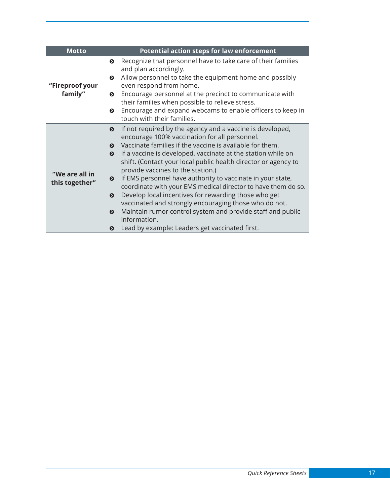| <b>Motto</b>                     | <b>Potential action steps for law enforcement</b>                                                                                                                                                                                                                                                                                                                                                                                                                                                                                                                                                                                                                                                                                                                                                                                                 |
|----------------------------------|---------------------------------------------------------------------------------------------------------------------------------------------------------------------------------------------------------------------------------------------------------------------------------------------------------------------------------------------------------------------------------------------------------------------------------------------------------------------------------------------------------------------------------------------------------------------------------------------------------------------------------------------------------------------------------------------------------------------------------------------------------------------------------------------------------------------------------------------------|
| "Fireproof your<br>family"       | Recognize that personnel have to take care of their families<br>$\bullet$<br>and plan accordingly.<br>Allow personnel to take the equipment home and possibly<br>◐<br>even respond from home.<br>Encourage personnel at the precinct to communicate with<br>◐<br>their families when possible to relieve stress.<br>Encourage and expand webcams to enable officers to keep in<br>◐<br>touch with their families.                                                                                                                                                                                                                                                                                                                                                                                                                                 |
| "We are all in<br>this together" | If not required by the agency and a vaccine is developed,<br>$\bullet$<br>encourage 100% vaccination for all personnel.<br>Vaccinate families if the vaccine is available for them.<br>$\bullet$<br>If a vaccine is developed, vaccinate at the station while on<br>$\bullet$<br>shift. (Contact your local public health director or agency to<br>provide vaccines to the station.)<br>If EMS personnel have authority to vaccinate in your state,<br>$\bullet$<br>coordinate with your EMS medical director to have them do so.<br>Develop local incentives for rewarding those who get<br>$\bullet$<br>vaccinated and strongly encouraging those who do not.<br>Maintain rumor control system and provide staff and public<br>$\boldsymbol{\Theta}$<br>information.<br>Lead by example: Leaders get vaccinated first.<br>$\boldsymbol{\Theta}$ |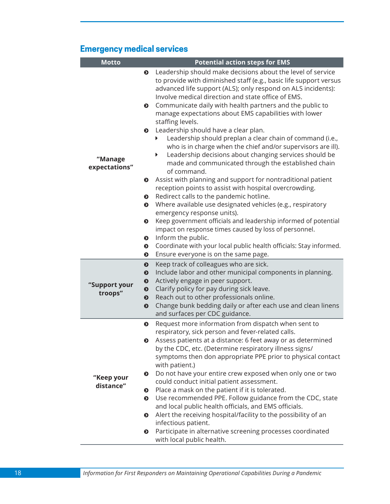### **Emergency medical services**

| <b>Motto</b>             |                        | <b>Potential action steps for EMS</b>                                                                                                                                                                                                                                                                                                                                                           |
|--------------------------|------------------------|-------------------------------------------------------------------------------------------------------------------------------------------------------------------------------------------------------------------------------------------------------------------------------------------------------------------------------------------------------------------------------------------------|
|                          | $\bullet$<br>$\bullet$ | Leadership should make decisions about the level of service<br>to provide with diminished staff (e.g., basic life support versus<br>advanced life support (ALS); only respond on ALS incidents):<br>Involve medical direction and state office of EMS.<br>Communicate daily with health partners and the public to<br>manage expectations about EMS capabilities with lower<br>staffing levels. |
|                          | $\bullet$              | Leadership should have a clear plan.                                                                                                                                                                                                                                                                                                                                                            |
|                          |                        | Leadership should preplan a clear chain of command (i.e.,<br>who is in charge when the chief and/or supervisors are ill).                                                                                                                                                                                                                                                                       |
| "Manage<br>expectations" |                        | Leadership decisions about changing services should be<br>Þ.<br>made and communicated through the established chain<br>of command.                                                                                                                                                                                                                                                              |
|                          | $\bullet$              | Assist with planning and support for nontraditional patient<br>reception points to assist with hospital overcrowding.                                                                                                                                                                                                                                                                           |
|                          | ◐                      | Redirect calls to the pandemic hotline.                                                                                                                                                                                                                                                                                                                                                         |
|                          | $\bullet$              | Where available use designated vehicles (e.g., respiratory<br>emergency response units).                                                                                                                                                                                                                                                                                                        |
|                          | $\bullet$              | Keep government officials and leadership informed of potential                                                                                                                                                                                                                                                                                                                                  |
|                          |                        | impact on response times caused by loss of personnel.                                                                                                                                                                                                                                                                                                                                           |
|                          | $\bullet$              | Inform the public.                                                                                                                                                                                                                                                                                                                                                                              |
|                          | ◐<br>◐                 | Coordinate with your local public health officials: Stay informed.<br>Ensure everyone is on the same page.                                                                                                                                                                                                                                                                                      |
|                          | $\bullet$              | Keep track of colleagues who are sick.                                                                                                                                                                                                                                                                                                                                                          |
|                          | $\ddot{\mathbf{O}}$    | Include labor and other municipal components in planning.                                                                                                                                                                                                                                                                                                                                       |
| "Support your            | $\bullet$              | Actively engage in peer support.                                                                                                                                                                                                                                                                                                                                                                |
| troops"                  | $\bullet$              | Clarify policy for pay during sick leave.                                                                                                                                                                                                                                                                                                                                                       |
|                          | $\bullet$<br>$\bullet$ | Reach out to other professionals online.<br>Change bunk bedding daily or after each use and clean linens                                                                                                                                                                                                                                                                                        |
|                          |                        | and surfaces per CDC guidance.                                                                                                                                                                                                                                                                                                                                                                  |
|                          | $\bullet$              | Request more information from dispatch when sent to                                                                                                                                                                                                                                                                                                                                             |
|                          |                        | respiratory, sick person and fever-related calls.                                                                                                                                                                                                                                                                                                                                               |
|                          |                        | Assess patients at a distance: 6 feet away or as determined<br>by the CDC, etc. (Determine respiratory illness signs/                                                                                                                                                                                                                                                                           |
|                          |                        | symptoms then don appropriate PPE prior to physical contact<br>with patient.)                                                                                                                                                                                                                                                                                                                   |
| "Keep your<br>distance"  | ◐                      | Do not have your entire crew exposed when only one or two<br>could conduct initial patient assessment.                                                                                                                                                                                                                                                                                          |
|                          | $\bullet$              | Place a mask on the patient if it is tolerated.                                                                                                                                                                                                                                                                                                                                                 |
|                          | $\bullet$              | Use recommended PPE. Follow guidance from the CDC, state<br>and local public health officials, and EMS officials.                                                                                                                                                                                                                                                                               |
|                          | ◐                      | Alert the receiving hospital/facility to the possibility of an                                                                                                                                                                                                                                                                                                                                  |
|                          |                        | infectious patient.                                                                                                                                                                                                                                                                                                                                                                             |
|                          | $\bullet$              | Participate in alternative screening processes coordinated<br>with local public health.                                                                                                                                                                                                                                                                                                         |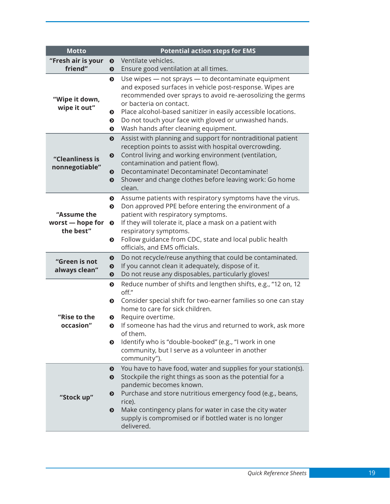<span id="page-30-0"></span>

| <b>Motto</b>                                 |                                                  | <b>Potential action steps for EMS</b>                                                                                                                                                                                                                                                                                                                                                                    |
|----------------------------------------------|--------------------------------------------------|----------------------------------------------------------------------------------------------------------------------------------------------------------------------------------------------------------------------------------------------------------------------------------------------------------------------------------------------------------------------------------------------------------|
| "Fresh air is your                           | $\bullet$                                        | Ventilate vehicles.                                                                                                                                                                                                                                                                                                                                                                                      |
| friend"                                      | $\bullet$                                        | Ensure good ventilation at all times.                                                                                                                                                                                                                                                                                                                                                                    |
| "Wipe it down,<br>wipe it out"               | $\bullet$<br>◐<br>◐<br>$\bullet$                 | Use wipes - not sprays - to decontaminate equipment<br>and exposed surfaces in vehicle post-response. Wipes are<br>recommended over sprays to avoid re-aerosolizing the germs<br>or bacteria on contact.<br>Place alcohol-based sanitizer in easily accessible locations.<br>Do not touch your face with gloved or unwashed hands.<br>Wash hands after cleaning equipment.                               |
| "Cleanliness is<br>nonnegotiable"            | $\bullet$<br>$\bullet$<br>◐<br>$\bullet$         | Assist with planning and support for nontraditional patient<br>reception points to assist with hospital overcrowding.<br>Control living and working environment (ventilation,<br>contamination and patient flow).<br>Decontaminate! Decontaminate! Decontaminate!<br>Shower and change clothes before leaving work: Go home<br>clean.                                                                    |
| "Assume the<br>worst - hope for<br>the best" | $\bullet$<br>$\bullet$<br>$\bullet$<br>$\bullet$ | Assume patients with respiratory symptoms have the virus.<br>Don approved PPE before entering the environment of a<br>patient with respiratory symptoms.<br>If they will tolerate it, place a mask on a patient with<br>respiratory symptoms.<br>Follow guidance from CDC, state and local public health<br>officials, and EMS officials.                                                                |
| "Green is not<br>always clean"               | $\bullet$<br>$\bullet$<br>$\bullet$              | Do not recycle/reuse anything that could be contaminated.<br>If you cannot clean it adequately, dispose of it.<br>Do not reuse any disposables, particularly gloves!                                                                                                                                                                                                                                     |
| "Rise to the<br>occasion"                    | $\bullet$<br>$\bullet$<br>◐<br>◐<br>◐            | Reduce number of shifts and lengthen shifts, e.g., "12 on, 12<br>off."<br>Consider special shift for two-earner families so one can stay<br>home to care for sick children.<br>Require overtime.<br>If someone has had the virus and returned to work, ask more<br>of them.<br>Identify who is "double-booked" (e.g., "I work in one<br>community, but I serve as a volunteer in another<br>community"). |
| "Stock up"                                   | ◐<br>$\bullet$<br>$\boldsymbol{\Theta}$<br>◐     | You have to have food, water and supplies for your station(s).<br>Stockpile the right things as soon as the potential for a<br>pandemic becomes known.<br>Purchase and store nutritious emergency food (e.g., beans,<br>rice).<br>Make contingency plans for water in case the city water<br>supply is compromised or if bottled water is no longer<br>delivered.                                        |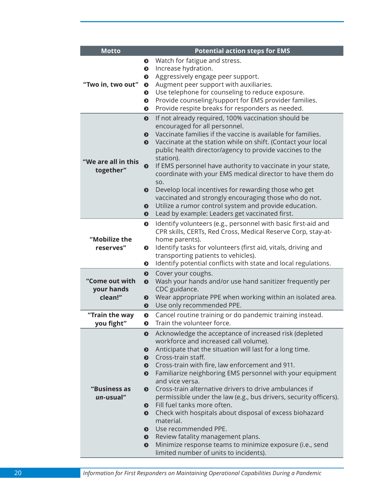| <b>Motto</b>                            | <b>Potential action steps for EMS</b>                                                                                                                                                                                                                                                                                                                                                                                                                                                                                                                                                                                                                                                                                                                                                      |
|-----------------------------------------|--------------------------------------------------------------------------------------------------------------------------------------------------------------------------------------------------------------------------------------------------------------------------------------------------------------------------------------------------------------------------------------------------------------------------------------------------------------------------------------------------------------------------------------------------------------------------------------------------------------------------------------------------------------------------------------------------------------------------------------------------------------------------------------------|
| "Two in, two out"                       | Watch for fatigue and stress.<br>◐<br>Increase hydration.<br>$\bullet$<br>Aggressively engage peer support.<br>◐<br>Augment peer support with auxiliaries.<br>$\bullet$<br>Use telephone for counseling to reduce exposure.<br>$\bullet$<br>Provide counseling/support for EMS provider families.<br>$\bullet$<br>Provide respite breaks for responders as needed.<br>◐                                                                                                                                                                                                                                                                                                                                                                                                                    |
| "We are all in this<br>together"        | If not already required, 100% vaccination should be<br>$\bullet$<br>encouraged for all personnel.<br>Vaccinate families if the vaccine is available for families.<br>$\bullet$<br>Vaccinate at the station while on shift. (Contact your local<br>$\mathbf{o}$<br>public health director/agency to provide vaccines to the<br>station).<br>If EMS personnel have authority to vaccinate in your state,<br>$\bullet$<br>coordinate with your EMS medical director to have them do<br>SO.<br>Develop local incentives for rewarding those who get<br>◐<br>vaccinated and strongly encouraging those who do not.<br>Utilize a rumor control system and provide education.<br>◐                                                                                                                |
|                                         | Lead by example: Leaders get vaccinated first.<br>◐                                                                                                                                                                                                                                                                                                                                                                                                                                                                                                                                                                                                                                                                                                                                        |
| "Mobilize the<br>reserves"              | Identify volunteers (e.g., personnel with basic first-aid and<br>$\bullet$<br>CPR skills, CERTs, Red Cross, Medical Reserve Corp, stay-at-<br>home parents).<br>Identify tasks for volunteers (first aid, vitals, driving and<br>◐<br>transporting patients to vehicles).<br>Identify potential conflicts with state and local regulations.<br>◐                                                                                                                                                                                                                                                                                                                                                                                                                                           |
| "Come out with<br>your hands<br>clean!" | Cover your coughs.<br>$\bullet$<br>Wash your hands and/or use hand sanitizer frequently per<br>$\bullet$<br>CDC guidance.<br>Wear appropriate PPE when working within an isolated area.<br>❸<br>Use only recommended PPE.<br>$\bullet$                                                                                                                                                                                                                                                                                                                                                                                                                                                                                                                                                     |
| "Train the way<br>you fight"            | Cancel routine training or do pandemic training instead.<br>$\bullet$<br>Train the volunteer force.<br>◐                                                                                                                                                                                                                                                                                                                                                                                                                                                                                                                                                                                                                                                                                   |
| "Business as<br>un-usual"               | Acknowledge the acceptance of increased risk (depleted<br>◐<br>workforce and increased call volume).<br>Anticipate that the situation will last for a long time.<br>◐<br>Cross-train staff.<br>◐<br>Cross-train with fire, law enforcement and 911.<br>$\bullet$<br>Familiarize neighboring EMS personnel with your equipment<br>$\bullet$<br>and vice versa.<br>Cross-train alternative drivers to drive ambulances if<br>◐<br>permissible under the law (e.g., bus drivers, security officers).<br>Fill fuel tanks more often.<br>$\bullet$<br>Check with hospitals about disposal of excess biohazard<br>$\bullet$<br>material.<br>Use recommended PPE.<br>◐<br>Review fatality management plans.<br>$\bullet$<br>Minimize response teams to minimize exposure (i.e., send<br>$\bullet$ |

20 *Information for First Responders on Maintaining Operational Capabilities During a Pandemic*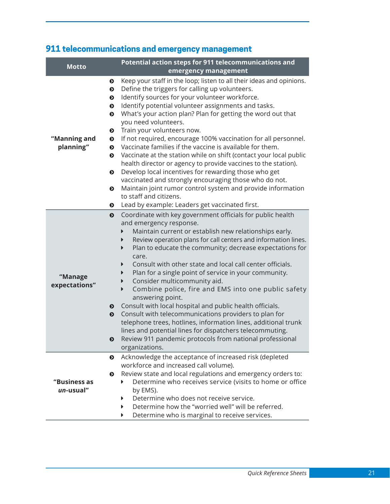## **911 telecommunications and emergency management**

| <b>Motto</b>              | Potential action steps for 911 telecommunications and<br>emergency management                                                                                                                                                                                                                                                                                                                                                                                                                                                                                                                                                                                                                                                                                                                                                                                                                                                                                                                                                              |
|---------------------------|--------------------------------------------------------------------------------------------------------------------------------------------------------------------------------------------------------------------------------------------------------------------------------------------------------------------------------------------------------------------------------------------------------------------------------------------------------------------------------------------------------------------------------------------------------------------------------------------------------------------------------------------------------------------------------------------------------------------------------------------------------------------------------------------------------------------------------------------------------------------------------------------------------------------------------------------------------------------------------------------------------------------------------------------|
| "Manning and<br>planning" | Keep your staff in the loop; listen to all their ideas and opinions.<br>$\bullet$<br>Define the triggers for calling up volunteers.<br>$\bullet$<br>Identify sources for your volunteer workforce.<br>$\bullet$<br>Identify potential volunteer assignments and tasks.<br>$\bullet$<br>What's your action plan? Plan for getting the word out that<br>$\bullet$<br>you need volunteers.<br>Train your volunteers now.<br>$\bullet$<br>If not required, encourage 100% vaccination for all personnel.<br>$\bullet$<br>Vaccinate families if the vaccine is available for them.<br>$\bullet$<br>Vaccinate at the station while on shift (contact your local public<br>$\bullet$<br>health director or agency to provide vaccines to the station).<br>Develop local incentives for rewarding those who get<br>$\bullet$<br>vaccinated and strongly encouraging those who do not.<br>Maintain joint rumor control system and provide information<br>$\bullet$<br>to staff and citizens.<br>Lead by example: Leaders get vaccinated first.<br>◐ |
| "Manage<br>expectations"  | Coordinate with key government officials for public health<br>$\bullet$<br>and emergency response.<br>Maintain current or establish new relationships early.<br>Review operation plans for call centers and information lines.<br>Þ<br>Plan to educate the community; decrease expectations for<br>▶<br>care.<br>Consult with other state and local call center officials.<br>▶<br>Plan for a single point of service in your community.<br>Consider multicommunity aid.<br>▶<br>Combine police, fire and EMS into one public safety<br>$\blacktriangleright$<br>answering point.<br>Consult with local hospital and public health officials.<br>$\bullet$<br>Consult with telecommunications providers to plan for<br>$\bullet$<br>telephone trees, hotlines, information lines, additional trunk<br>lines and potential lines for dispatchers telecommuting.<br>Review 911 pandemic protocols from national professional<br>❸<br>organizations.                                                                                          |
| "Business as<br>un-usual" | Acknowledge the acceptance of increased risk (depleted<br>$\bullet$<br>workforce and increased call volume).<br>Review state and local regulations and emergency orders to:<br>◐<br>Determine who receives service (visits to home or office<br>by EMS).<br>Determine who does not receive service.<br>▶<br>Determine how the "worried well" will be referred.<br>▶<br>Determine who is marginal to receive services.                                                                                                                                                                                                                                                                                                                                                                                                                                                                                                                                                                                                                      |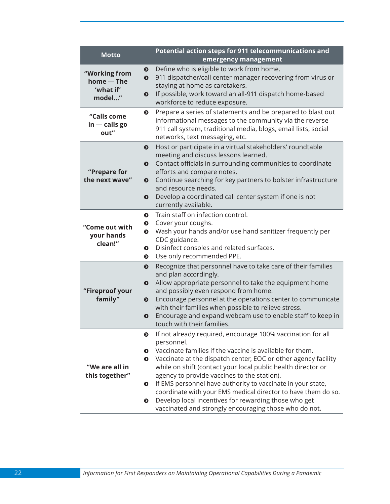| <b>Motto</b>                                                                                                                                                                                                                                                                                                                                                                                                                                                                                                                                                                                                                                                                                                                                                                                                                                                                                                                                                                                                                                                                                                                                                                                                                                                                                                                                                                                                                                                                                                                                                                                        | Potential action steps for 911 telecommunications and<br>emergency management                                                                                                                                                                                                                                                                                                                                                                                                                                                        |  |  |  |  |  |
|-----------------------------------------------------------------------------------------------------------------------------------------------------------------------------------------------------------------------------------------------------------------------------------------------------------------------------------------------------------------------------------------------------------------------------------------------------------------------------------------------------------------------------------------------------------------------------------------------------------------------------------------------------------------------------------------------------------------------------------------------------------------------------------------------------------------------------------------------------------------------------------------------------------------------------------------------------------------------------------------------------------------------------------------------------------------------------------------------------------------------------------------------------------------------------------------------------------------------------------------------------------------------------------------------------------------------------------------------------------------------------------------------------------------------------------------------------------------------------------------------------------------------------------------------------------------------------------------------------|--------------------------------------------------------------------------------------------------------------------------------------------------------------------------------------------------------------------------------------------------------------------------------------------------------------------------------------------------------------------------------------------------------------------------------------------------------------------------------------------------------------------------------------|--|--|--|--|--|
| "Working from<br>home - The<br>'what if'<br>model"                                                                                                                                                                                                                                                                                                                                                                                                                                                                                                                                                                                                                                                                                                                                                                                                                                                                                                                                                                                                                                                                                                                                                                                                                                                                                                                                                                                                                                                                                                                                                  | Define who is eligible to work from home.<br>◐<br>911 dispatcher/call center manager recovering from virus or<br>$\bullet$<br>staying at home as caretakers.<br>If possible, work toward an all-911 dispatch home-based<br>❸<br>workforce to reduce exposure.                                                                                                                                                                                                                                                                        |  |  |  |  |  |
| Prepare a series of statements and be prepared to blast out<br>$\bullet$<br>"Calls come<br>informational messages to the community via the reverse<br>$in - calls go$<br>911 call system, traditional media, blogs, email lists, social<br>out"<br>networks, text messaging, etc.<br>Host or participate in a virtual stakeholders' roundtable<br>$\bullet$<br>meeting and discuss lessons learned.<br>Contact officials in surrounding communities to coordinate<br>$\bullet$<br>"Prepare for<br>efforts and compare notes.<br>the next wave"<br>Continue searching for key partners to bolster infrastructure<br>$\bullet$<br>and resource needs.<br>Develop a coordinated call center system if one is not<br>◐<br>currently available.<br>Train staff on infection control.<br>◐<br>Cover your coughs.<br>$\bullet$<br>"Come out with<br>Wash your hands and/or use hand sanitizer frequently per<br>$\bullet$<br>your hands<br>CDC guidance.<br>clean!"<br>Disinfect consoles and related surfaces.<br>◐<br>Use only recommended PPE.<br>◐<br>Recognize that personnel have to take care of their families<br>$\bullet$<br>and plan accordingly.<br>Allow appropriate personnel to take the equipment home<br>◐<br>"Fireproof your<br>and possibly even respond from home.<br>family"<br>Encourage personnel at the operations center to communicate<br>$\bullet$<br>with their families when possible to relieve stress.<br>Encourage and expand webcam use to enable staff to keep in<br>◐<br>touch with their families.<br>If not already required, encourage 100% vaccination for all<br>◐ |                                                                                                                                                                                                                                                                                                                                                                                                                                                                                                                                      |  |  |  |  |  |
|                                                                                                                                                                                                                                                                                                                                                                                                                                                                                                                                                                                                                                                                                                                                                                                                                                                                                                                                                                                                                                                                                                                                                                                                                                                                                                                                                                                                                                                                                                                                                                                                     |                                                                                                                                                                                                                                                                                                                                                                                                                                                                                                                                      |  |  |  |  |  |
|                                                                                                                                                                                                                                                                                                                                                                                                                                                                                                                                                                                                                                                                                                                                                                                                                                                                                                                                                                                                                                                                                                                                                                                                                                                                                                                                                                                                                                                                                                                                                                                                     |                                                                                                                                                                                                                                                                                                                                                                                                                                                                                                                                      |  |  |  |  |  |
|                                                                                                                                                                                                                                                                                                                                                                                                                                                                                                                                                                                                                                                                                                                                                                                                                                                                                                                                                                                                                                                                                                                                                                                                                                                                                                                                                                                                                                                                                                                                                                                                     |                                                                                                                                                                                                                                                                                                                                                                                                                                                                                                                                      |  |  |  |  |  |
| "We are all in<br>this together"                                                                                                                                                                                                                                                                                                                                                                                                                                                                                                                                                                                                                                                                                                                                                                                                                                                                                                                                                                                                                                                                                                                                                                                                                                                                                                                                                                                                                                                                                                                                                                    | personnel.<br>Vaccinate families if the vaccine is available for them.<br>◐<br>Vaccinate at the dispatch center, EOC or other agency facility<br>◐<br>while on shift (contact your local public health director or<br>agency to provide vaccines to the station).<br>If EMS personnel have authority to vaccinate in your state,<br>$\bullet$<br>coordinate with your EMS medical director to have them do so.<br>Develop local incentives for rewarding those who get<br>◐<br>vaccinated and strongly encouraging those who do not. |  |  |  |  |  |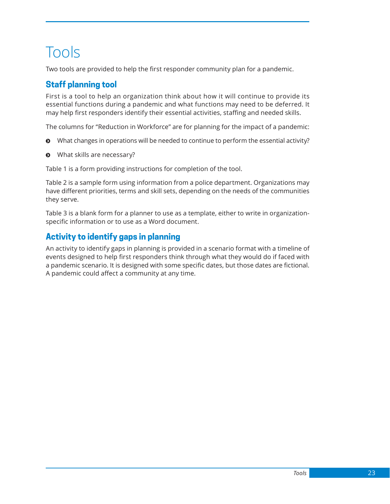## <span id="page-34-0"></span>Tools

Two tools are provided to help the first responder community plan for a pandemic.

### **Staff planning tool**

First is a tool to help an organization think about how it will continue to provide its essential functions during a pandemic and what functions may need to be deferred. It may help first responders identify their essential activities, staffing and needed skills.

The columns for "Reduction in Workforce" are for planning for the impact of a pandemic:

- $\odot$  What changes in operations will be needed to continue to perform the essential activity?
- $\odot$  What skills are necessary?

Table 1 is a form providing instructions for completion of the tool.

Table 2 is a sample form using information from a police department. Organizations may have different priorities, terms and skill sets, depending on the needs of the communities they serve.

Table 3 is a blank form for a planner to use as a template, either to write in organizationspecific information or to use as a Word document.

### **Activity to identify gaps in planning**

An activity to identify gaps in planning is provided in a scenario format with a timeline of events designed to help first responders think through what they would do if faced with a pandemic scenario. It is designed with some specific dates, but those dates are fictional. A pandemic could affect a community at any time.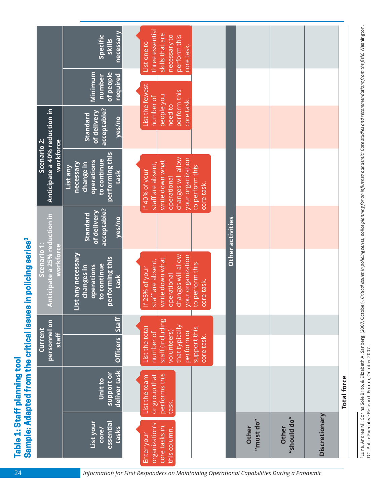| necessary<br>Specific<br>skills<br>Minimum<br>of people<br>required<br>number<br>acceptable?<br>of delivery<br>Standard<br>yes/no<br>performing this<br>to continue<br><b>operations</b><br>necessary<br>change in<br>List any<br>task<br>acceptable?<br>of delivery<br>Standard<br>yes/no | three essential<br>skills that are<br>necessary to<br>perform this<br>List one to<br>core task.<br>List the fewest<br>perform this<br>people you<br>number of<br>core task.<br>need to<br>changes will allow<br>your organization<br>write down what<br>staff are absent,<br>to perform this<br><u>If 40% of your</u><br>operational<br>core task. |                                                                                                                                                                                                                    |                                                                 |               |
|--------------------------------------------------------------------------------------------------------------------------------------------------------------------------------------------------------------------------------------------------------------------------------------------|----------------------------------------------------------------------------------------------------------------------------------------------------------------------------------------------------------------------------------------------------------------------------------------------------------------------------------------------------|--------------------------------------------------------------------------------------------------------------------------------------------------------------------------------------------------------------------|-----------------------------------------------------------------|---------------|
| Staff<br><b>Officers</b>                                                                                                                                                                                                                                                                   | staff (including<br>that typically<br>List the total<br>support this<br>perform or<br>volunteers)<br>number of<br>core task.                                                                                                                                                                                                                       |                                                                                                                                                                                                                    |                                                                 |               |
| deliver task<br>support or<br>Unit to<br>essential<br>List your<br>tasks<br>core/                                                                                                                                                                                                          | performs this<br>or group that<br>List the team<br>task.                                                                                                                                                                                                                                                                                           | Other                                                                                                                                                                                                              | Other                                                           | Discretionary |
| workforce                                                                                                                                                                                                                                                                                  | workforce<br>List any necessary<br>performing this<br>to continue<br>operations<br>changes in<br>task<br><b>Staff</b>                                                                                                                                                                                                                              | changes will allow<br>your organization<br>write down what<br>staff are absent,<br>to perform this<br>If 25% of your<br>operational<br>core task.<br>organization's<br>core tasks in<br>this column.<br>Enter your | Other activities<br>$^{\prime\prime}$ must do $^{\prime\prime}$ | "should do"   |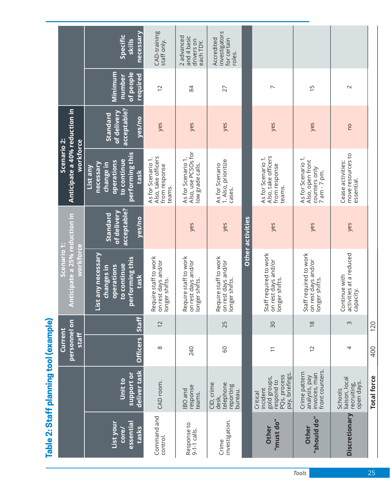|                                                      | DELINION DO DO DE LIBERTINA I DE LA PERSISTI                                          | Current                      |                | Scenario 1:                                                                              |                                                  | Scenario 2:                                                                                       |                                                  |                                                   |                                                      |
|------------------------------------------------------|---------------------------------------------------------------------------------------|------------------------------|----------------|------------------------------------------------------------------------------------------|--------------------------------------------------|---------------------------------------------------------------------------------------------------|--------------------------------------------------|---------------------------------------------------|------------------------------------------------------|
|                                                      |                                                                                       | personnel on<br><b>Staff</b> |                | Anticipate a 25% reduction in<br>workforce                                               |                                                  | Anticipate a 40% reduction in<br>workforce                                                        |                                                  |                                                   |                                                      |
| List your<br>essential<br>tasks<br>core/             | deliver task<br>support or<br>Unit to                                                 | Officers   Staff             |                | List any necessary<br>performing this<br>to continue<br>operations<br>changes in<br>task | acceptable?<br>of delivery<br>Standard<br>yes/no | performing this<br>to continue<br>operations<br>necessary<br><b>Change in</b><br>List any<br>task | acceptable?<br>of delivery<br>Standard<br>yes/no | of people<br>Minimum<br>required<br><b>number</b> | necessary<br>Specific<br>skills                      |
| Command and<br>control.                              | CAD room.                                                                             | $\infty$                     | $\overline{2}$ | equire staff to work<br>on rest days and/or<br>longer shifts.<br>∝                       |                                                  | Also, take officers<br>As for Scenario 1.<br>from response<br>teams.                              | yes                                              | $\overline{2}$                                    | CAD-training<br>staff only.                          |
| Response to<br>9-1-1 calls.                          | response<br><b>IBO</b> and<br>teams.                                                  | 240                          |                | Require staff to work<br>on rest days and/or<br>longer shifts.                           | yes                                              | Also, use PCSOs for<br>As for Scenario 1.<br>low grade calls.                                     | yes                                              | 84                                                | 2 advanced<br>and 4 basic<br>drivers on<br>each TDY. |
| investigation.<br>Crime                              | CID, crime<br>telephone<br>reporting<br>bureau.<br>desk,                              | <b>GO</b>                    | 25             | Require staff to work<br>on rest days and/or<br>longer shifts.                           | yes                                              | 1. Also, prioritize<br>As for Scenario<br>cases.                                                  | yes                                              | 27                                                | investigators<br>Accredited<br>for certain<br>roles. |
|                                                      |                                                                                       |                              |                |                                                                                          | Other activities                                 |                                                                                                   |                                                  |                                                   |                                                      |
| $^{\prime\prime}$ must do $^{\prime\prime}$<br>Other | pay, briefings.<br>PQs, process<br>gold groups,<br>respond to<br>incident<br>Critical | $\overline{\phantom{0}}$     | 30             | Staff required to work<br>on rest days and/or<br>longer shifts.                          | yes                                              | Also, take officers<br>As for Scenario 1.<br>from response<br>teams.                              | yes                                              | $\overline{ }$                                    |                                                      |
| "should do"<br>Other                                 | front counters.<br>Crime pattern<br>invoices, man<br>analysis, pay                    | $\overline{c}$               | $\frac{8}{18}$ | Staff required to work<br>on rest days and/or<br>longer shifts.                          | yes                                              | As for Scenario 1.<br>Also, open front<br>counters only<br>7 am - 7 pm.                           | yes                                              | $\overline{5}$                                    |                                                      |
| Discretionary                                        | liaison, local<br>open days.<br>recruiting,<br>Schools                                | 4                            | $\infty$       | activities at a reduced<br>Continue with<br>capacity.                                    | yes                                              | move resources to<br>Cease activities:<br>essential.                                              | OU                                               | $\sim$                                            |                                                      |
|                                                      | <b>Total force</b>                                                                    | 400                          | 120            |                                                                                          |                                                  |                                                                                                   |                                                  |                                                   |                                                      |

Table 2: Staff planning tool (example) **Table 2: Staff planning tool (example)**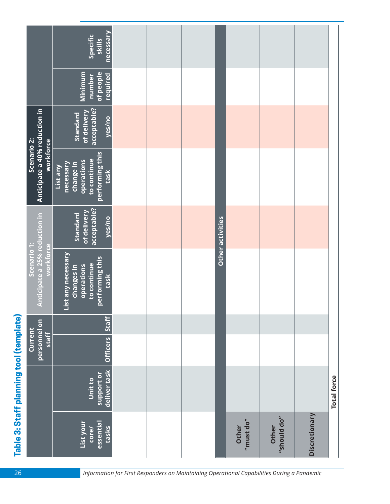|                                         |                                                           | necessary<br>Specific<br>skills                                                                        |  |                  |                                                      |                      |               |                    |
|-----------------------------------------|-----------------------------------------------------------|--------------------------------------------------------------------------------------------------------|--|------------------|------------------------------------------------------|----------------------|---------------|--------------------|
|                                         |                                                           | Minimum<br>of people<br>required<br>number                                                             |  |                  |                                                      |                      |               |                    |
|                                         |                                                           | acceptable?<br>of delivery<br><b>Standard</b><br>yes/no                                                |  |                  |                                                      |                      |               |                    |
|                                         | Anticipate a 40% reduction in<br>Scenario 2:<br>workforce | performing this<br>to continue<br><b>operations</b><br>necessary<br>change in<br>List any<br>task      |  |                  |                                                      |                      |               |                    |
|                                         |                                                           | acceptable?<br>of delivery<br>Standard<br>yes/no                                                       |  | Other activities |                                                      |                      |               |                    |
|                                         | Anticipate a 25% reduction in<br>Scenario 1:<br>workforce | List any necessary<br>performing this<br>to continue<br><b>operations</b><br><b>changes</b> in<br>task |  |                  |                                                      |                      |               |                    |
|                                         |                                                           | <b>Staff</b>                                                                                           |  |                  |                                                      |                      |               |                    |
|                                         | personnel on<br>Current<br><b>Staff</b>                   | <b>Officers</b>                                                                                        |  |                  |                                                      |                      |               |                    |
| Table 3: Staff planning tool (template) |                                                           | deliver task<br>support or<br>Unit to                                                                  |  |                  |                                                      |                      |               | <b>Total force</b> |
|                                         |                                                           | essential<br>List your<br>tasks<br><b>Core/</b>                                                        |  |                  | $^{\prime\prime}$ must do $^{\prime\prime}$<br>Other | "should do"<br>Other | Discretionary |                    |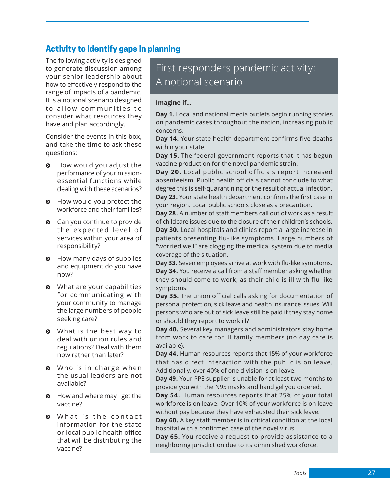### **Activity to identify gaps in planning**

The following activity is designed to generate discussion among your senior leadership about how to effectively respond to the range of impacts of a pandemic. It is a notional scenario designed to allow communities to consider what resources they have and plan accordingly.

Consider the events in this box, and take the time to ask these questions:

- $\bullet$  How would you adjust the performance of your missionessential functions while dealing with these scenarios?
- $\odot$  How would you protect the workforce and their families?
- $\odot$  Can you continue to provide the expected level of services within your area of responsibility?
- $\odot$  How many days of supplies and equipment do you have now?
- What are your capabilities for communicating with your community to manage the large numbers of people seeking care?
- $\odot$  What is the best way to deal with union rules and regulations? Deal with them now rather than later?
- $\odot$  Who is in charge when the usual leaders are not available?
- $\odot$  How and where may I get the vaccine?
- $\odot$  What is the contact information for the state or local public health office that will be distributing the vaccine?

### First responders pandemic activity: A notional scenario

#### **Imagine if…**

**Day 1.** Local and national media outlets begin running stories on pandemic cases throughout the nation, increasing public concerns.

**Day 14.** Your state health department confirms five deaths within your state.

**Day 15.** The federal government reports that it has begun vaccine production for the novel pandemic strain.

**Day 20.** Local public school officials report increased absenteeism. Public health officials cannot conclude to what degree this is self-quarantining or the result of actual infection. **Day 23.** Your state health department confirms the first case in your region. Local public schools close as a precaution.

**Day 28.** A number of staff members call out of work as a result of childcare issues due to the closure of their children's schools. **Day 30.** Local hospitals and clinics report a large increase in patients presenting flu-like symptoms. Large numbers of "worried well" are clogging the medical system due to media coverage of the situation.

**Day 33.** Seven employees arrive at work with flu-like symptoms. **Day 34.** You receive a call from a staff member asking whether they should come to work, as their child is ill with flu-like symptoms.

**Day 35.** The union official calls asking for documentation of personal protection, sick leave and health insurance issues. Will persons who are out of sick leave still be paid if they stay home or should they report to work ill?

**Day 40.** Several key managers and administrators stay home from work to care for ill family members (no day care is available).

**Day 44.** Human resources reports that 15% of your workforce that has direct interaction with the public is on leave. Additionally, over 40% of one division is on leave.

**Day 49.** Your PPE supplier is unable for at least two months to provide you with the N95 masks and hand gel you ordered.

**Day 54.** Human resources reports that 25% of your total workforce is on leave. Over 10% of your workforce is on leave without pay because they have exhausted their sick leave.

**Day 60.** A key staff member is in critical condition at the local hospital with a confirmed case of the novel virus.

**Day 65.** You receive a request to provide assistance to a neighboring jurisdiction due to its diminished workforce.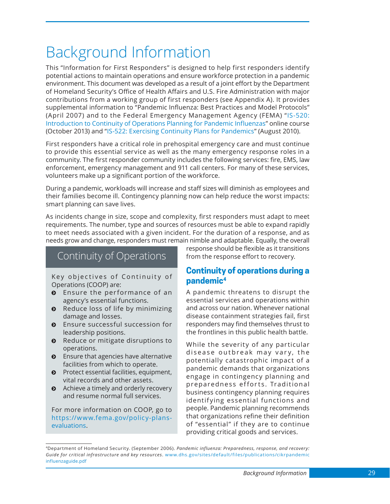## <span id="page-40-0"></span>Background Information

This "Information for First Responders" is designed to help first responders identify potential actions to maintain operations and ensure workforce protection in a pandemic environment. This document was developed as a result of a joint effort by the Department of Homeland Security's Office of Health Affairs and U.S. Fire Administration with major contributions from a working group of first responders (see Appendix A). It provides supplemental information to "Pandemic Influenza: Best Practices and Model Protocols" (April 2007) and to the Federal Emergency Management Agency (FEMA) "[IS-520:](https://training.fema.gov/is/courseoverview.aspx?code=IS-520) [Introduction to Continuity of Operations Planning for Pandemic Influenza](https://training.fema.gov/is/courseoverview.aspx?code=IS-520)s" online course (October 2013) and "[IS-522: Exercising Continuity Plans for Pandemics](https://training.fema.gov/is/courseoverview.aspx?code=IS-522)" (August 2010).

First responders have a critical role in prehospital emergency care and must continue to provide this essential service as well as the many emergency response roles in a community. The first responder community includes the following services: fire, EMS, law enforcement, emergency management and 911 call centers. For many of these services, volunteers make up a significant portion of the workforce.

During a pandemic, workloads will increase and staff sizes will diminish as employees and their families become ill. Contingency planning now can help reduce the worst impacts: smart planning can save lives.

As incidents change in size, scope and complexity, first responders must adapt to meet requirements. The number, type and sources of resources must be able to expand rapidly to meet needs associated with a given incident. For the duration of a response, and as needs grow and change, responders must remain nimble and adaptable. Equally, the overall

### Continuity of Operations

Key objectives of Continuity of Operations (COOP) are:

- $\odot$  Ensure the performance of an agency's essential functions.
- $\odot$  Reduce loss of life by minimizing damage and losses.
- $\odot$  Ensure successful succession for leadership positions.
- $\odot$  Reduce or mitigate disruptions to operations.
- $\odot$  Ensure that agencies have alternative facilities from which to operate.
- $\odot$  Protect essential facilities, equipment, vital records and other assets.
- $\odot$  Achieve a timely and orderly recovery and resume normal full services.

For more information on COOP, go to [https://www.fema.gov/policy-plans](https://www.fema.gov/policy-plans-evaluations)[evaluations](https://www.fema.gov/policy-plans-evaluations).

response should be flexible as it transitions from the response effort to recovery.

### **Continuity of operations during a pandemic4**

A pandemic threatens to disrupt the essential services and operations within and across our nation. Whenever national disease containment strategies fail, first responders may find themselves thrust to the frontlines in this public health battle.

While the severity of any particular disease outbreak may vary, the potentially catastrophic impact of a pandemic demands that organizations engage in contingency planning and preparedness efforts. Traditional business contingency planning requires identifying essential functions and people. Pandemic planning recommends that organizations refine their definition of "essential" if they are to continue providing critical goods and services.

<sup>4</sup>Department of Homeland Security. (September 2006). *Pandemic influenza: Preparedness, response, and recovery: Guide for critical infrastructure and key resources*. [www.dhs.gov/sites/default/files/publications/cikrpandemic](http://www.dhs.gov/sites/default/files/publications/cikrpandemicinfluenzaguide.pdf) influenzaguide.pdf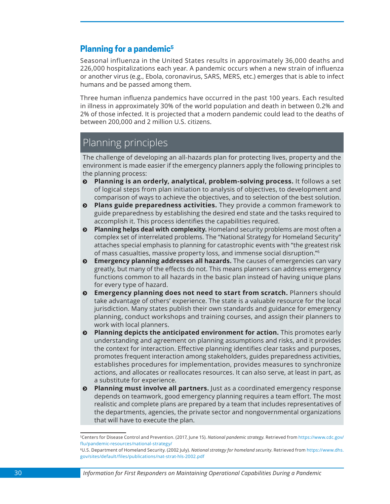### <span id="page-41-0"></span>**Planning for a pandemic5**

Seasonal influenza in the United States results in approximately 36,000 deaths and 226,000 hospitalizations each year. A pandemic occurs when a new strain of influenza or another virus (e.g., Ebola, coronavirus, SARS, MERS, etc.) emerges that is able to infect humans and be passed among them.

Three human influenza pandemics have occurred in the past 100 years. Each resulted in illness in approximately 30% of the world population and death in between 0.2% and 2% of those infected. It is projected that a modern pandemic could lead to the deaths of between 200,000 and 2 million U.S. citizens.

### Planning principles

The challenge of developing an all-hazards plan for protecting lives, property and the environment is made easier if the emergency planners apply the following principles to the planning process:

- $\theta$  Planning is an orderly, analytical, problem-solving process. It follows a set of logical steps from plan initiation to analysis of objectives, to development and comparison of ways to achieve the objectives, and to selection of the best solution.
- $\odot$  **Plans guide preparedness activities.** They provide a common framework to guide preparedness by establishing the desired end state and the tasks required to accomplish it. This process identifies the capabilities required.
- $\odot$  **Planning helps deal with complexity.** Homeland security problems are most often a complex set of interrelated problems. The "National Strategy for Homeland Security" attaches special emphasis to planning for catastrophic events with "the greatest risk of mass casualties, massive property loss, and immense social disruption."<sup>6</sup>
- $\odot$  **Emergency planning addresses all hazards.** The causes of emergencies can vary greatly, but many of the effects do not. This means planners can address emergency functions common to all hazards in the basic plan instead of having unique plans for every type of hazard.
- $\odot$  **Emergency planning does not need to start from scratch.** Planners should take advantage of others' experience. The state is a valuable resource for the local jurisdiction. Many states publish their own standards and guidance for emergency planning, conduct workshops and training courses, and assign their planners to work with local planners.
- $\odot$  **Planning depicts the anticipated environment for action.** This promotes early understanding and agreement on planning assumptions and risks, and it provides the context for interaction. Effective planning identifies clear tasks and purposes, promotes frequent interaction among stakeholders, guides preparedness activities, establishes procedures for implementation, provides measures to synchronize actions, and allocates or reallocates resources. It can also serve, at least in part, as a substitute for experience.
- $\odot$  **Planning must involve all partners.** Just as a coordinated emergency response depends on teamwork, good emergency planning requires a team effort. The most realistic and complete plans are prepared by a team that includes representatives of the departments, agencies, the private sector and nongovernmental organizations that will have to execute the plan.

<sup>5</sup>Centers for Disease Control and Prevention. (2017, June 15). *National pandemic strategy.* Retrieved from [https://www.cdc.gov/](https://www.cdc.gov/flu/pandemic-resources/national-strategy/) [flu/pandemic-resources/national-strategy/](https://www.cdc.gov/flu/pandemic-resources/national-strategy/)

<sup>6</sup>U.S. Department of Homeland Security. (2002 July). *National strategy for homeland security*. Retrieved from [https://www.dhs.](https://www.dhs.gov/sites/default/files/publications/nat-strat-hls-2002.pdf) [gov/sites/default/files/publications/nat-strat-hls-2002.pdf](https://www.dhs.gov/sites/default/files/publications/nat-strat-hls-2002.pdf)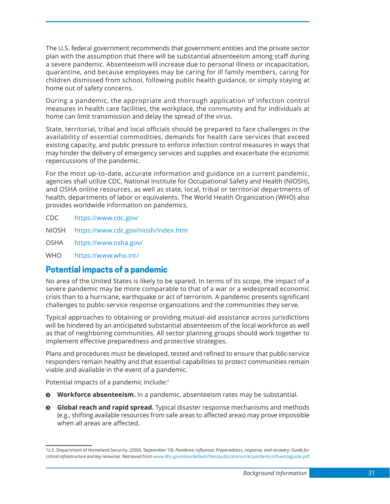<span id="page-42-0"></span>The U.S. federal government recommends that government entities and the private sector plan with the assumption that there will be substantial absenteeism among staff during a severe pandemic. Absenteeism will increase due to personal illness or incapacitation, quarantine, and because employees may be caring for ill family members, caring for children dismissed from school, following public health guidance, or simply staying at home out of safety concerns.

During a pandemic, the appropriate and thorough application of infection control measures in health care facilities, the workplace, the community and for individuals at home can limit transmission and delay the spread of the virus.

State, territorial, tribal and local officials should be prepared to face challenges in the availability of essential commodities, demands for health care services that exceed existing capacity, and public pressure to enforce infection control measures in ways that may hinder the delivery of emergency services and supplies and exacerbate the economic repercussions of the pandemic.

For the most up-to-date, accurate information and guidance on a current pandemic, agencies shall utilize CDC, National Institute for Occupational Safety and Health (NIOSH), and OSHA online resources, as well as state, local, tribal or territorial departments of health, departments of labor or equivalents. The World Health Organization (WHO) also provides worldwide information on pandemics.

- CDC <https://www.cdc.gov/>
- NIOSH <https://www.cdc.gov/niosh/index.htm>
- OSHA <https://www.osha.gov/>
- WHO <https://www.who.int/>

#### **Potential impacts of a pandemic**

No area of the United States is likely to be spared. In terms of its scope, the impact of a severe pandemic may be more comparable to that of a war or a widespread economic crisis than to a hurricane, earthquake or act of terrorism. A pandemic presents significant challenges to public-service response organizations and the communities they serve.

Typical approaches to obtaining or providing mutual-aid assistance across jurisdictions will be hindered by an anticipated substantial absenteeism of the local workforce as well as that of neighboring communities. All sector planning groups should work together to implement effective preparedness and protective strategies.

Plans and procedures must be developed, tested and refined to ensure that public-service responders remain healthy and that essential capabilities to protect communities remain viable and available in the event of a pandemic.

Potential impacts of a pandemic include:<sup>7</sup>

- $\odot$  **Workforce absenteeism.** In a pandemic, absenteeism rates may be substantial.
- $\odot$  **Global reach and rapid spread.** Typical disaster response mechanisms and methods (e.g., shifting available resources from safe areas to affected areas) may prove impossible when all areas are affected.

<sup>7</sup>U.S. Department of Homeland Security. (2006, September 19). *Pandemic influenza: Preparedness, response, and recovery: Guide for critical infrastructure and key resources.* Retrieved from [www.dhs.gov/sites/default/files/publications/cikrpandemicinfluenzaguide.pdf](http://www.dhs.gov/sites/default/files/publications/cikrpandemicinfluenzaguide.pdf)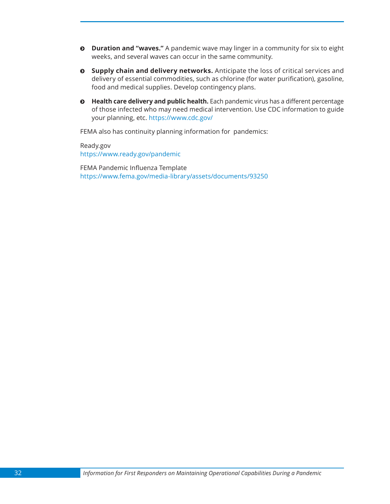- $\odot$  **Duration and "waves."** A pandemic wave may linger in a community for six to eight weeks, and several waves can occur in the same community.
- $\circ$  **Supply chain and delivery networks.** Anticipate the loss of critical services and delivery of essential commodities, such as chlorine (for water purification), gasoline, food and medical supplies. Develop contingency plans.
- $\odot$  **Health care delivery and public health.** Each pandemic virus has a different percentage of those infected who may need medical intervention. Use CDC information to guide your planning, etc. <https://www.cdc.gov/>

FEMA also has continuity planning information for pandemics:

Ready.gov <https://www.ready.gov/pandemic>

FEMA Pandemic Influenza Template <https://www.fema.gov/media-library/assets/documents/93250>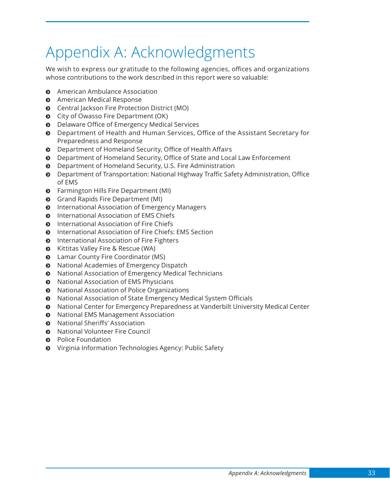## <span id="page-44-0"></span>Appendix A: Acknowledgments

We wish to express our gratitude to the following agencies, offices and organizations whose contributions to the work described in this report were so valuable:

- $\odot$  American Ambulance Association
- $\odot$  American Medical Response
- $\odot$  Central Jackson Fire Protection District (MO)
- $\odot$  City of Owasso Fire Department (OK)
- $\odot$  Delaware Office of Emergency Medical Services
- $\odot$  Department of Health and Human Services, Office of the Assistant Secretary for Preparedness and Response
- $\odot$  Department of Homeland Security, Office of Health Affairs
- $\odot$  Department of Homeland Security, Office of State and Local Law Enforcement
- $\odot$  Department of Homeland Security, U.S. Fire Administration
- $\odot$  Department of Transportation: National Highway Traffic Safety Administration, Office of EMS
- $\odot$  Farmington Hills Fire Department (MI)
- $\odot$  Grand Rapids Fire Department (MI)
- $\odot$  International Association of Emergency Managers
- **Q** International Association of EMS Chiefs
- $\odot$  International Association of Fire Chiefs
- $\odot$  International Association of Fire Chiefs: EMS Section
- $\odot$  International Association of Fire Fighters
- $\odot$  Kittitas Valley Fire & Rescue (WA)
- **Q** Lamar County Fire Coordinator (MS)
- $\odot$  National Academies of Emergency Dispatch
- National Association of Emergency Medical Technicians
- $\odot$  National Association of EMS Physicians
- National Association of Police Organizations
- $\odot$  National Association of State Emergency Medical System Officials
- $\odot$  National Center for Emergency Preparedness at Vanderbilt University Medical Center
- $\odot$  National EMS Management Association
- **Q** National Sheriffs' Association
- **8** National Volunteer Fire Council
- $\odot$  Police Foundation
- ĵ Virginia Information Technologies Agency: Public Safety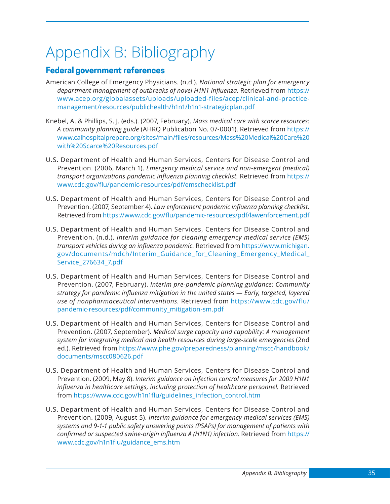# <span id="page-46-0"></span>Appendix B: Bibliography

### **Federal government references**

- American College of Emergency Physicians. (n.d.). *National strategic plan for emergency department management of outbreaks of novel H1N1 influenza.* Retrieved from [https://](https://www.acep.org/globalassets/uploads/uploaded-files/acep/clinical-and-practice-management/resources/publichealth/h1n1/h1n1-strategicplan.pdf) [www.acep.org/globalassets/uploads/uploaded-files/acep/clinical-and-practice](https://www.acep.org/globalassets/uploads/uploaded-files/acep/clinical-and-practice-management/resources/publichealth/h1n1/h1n1-strategicplan.pdf)[management/resources/publichealth/h1n1/h1n1-strategicplan.pdf](https://www.acep.org/globalassets/uploads/uploaded-files/acep/clinical-and-practice-management/resources/publichealth/h1n1/h1n1-strategicplan.pdf)
- Knebel, A. & Phillips, S. J. (eds.). (2007, February). *Mass medical care with scarce resources: A community planning guide* (AHRQ Publication No. 07-0001). Retrieved from [https://](https://www.calhospitalprepare.org/sites/main/files/resources/Mass%20Medical%20Care%20with%20Scarce%20Resources.pdf) [www.calhospitalprepare.org/sites/main/files/resources/Mass%20Medical%20Care%20](https://www.calhospitalprepare.org/sites/main/files/resources/Mass%20Medical%20Care%20with%20Scarce%20Resources.pdf) [with%20Scarce%20Resources.pdf](https://www.calhospitalprepare.org/sites/main/files/resources/Mass%20Medical%20Care%20with%20Scarce%20Resources.pdf)
- U.S. Department of Health and Human Services, Centers for Disease Control and Prevention. (2006, March 1). *Emergency medical service and non-emergent (medical) transport organizations pandemic influenza planning checklist.* Retrieved from [https://](https://www.cdc.gov/flu/pandemic-resources/pdf/emschecklist.pdf) [www.cdc.gov/flu/pandemic-resources/pdf/emschecklist.pdf](https://www.cdc.gov/flu/pandemic-resources/pdf/emschecklist.pdf)
- U.S. Department of Health and Human Services, Centers for Disease Control and Prevention. (2007, September 4). *Law enforcement pandemic influenza planning checklist.* Retrieved from<https://www.cdc.gov/flu/pandemic-resources/pdf/lawenforcement.pdf>
- U.S. Department of Health and Human Services, Centers for Disease Control and Prevention. (n.d.). *Interim guidance for cleaning emergency medical service (EMS) transport vehicles during an influenza pandemic.* Retrieved from [https://www.michigan.](https://www.michigan.gov/documents/mdch/Interim_Guidance_for_Cleaning_Emergency_Medical_Service_276634_7.pdf) [gov/documents/mdch/Interim\\_Guidance\\_for\\_Cleaning\\_Emergency\\_Medical\\_](https://www.michigan.gov/documents/mdch/Interim_Guidance_for_Cleaning_Emergency_Medical_Service_276634_7.pdf) [Service\\_276634\\_7.pdf](https://www.michigan.gov/documents/mdch/Interim_Guidance_for_Cleaning_Emergency_Medical_Service_276634_7.pdf)
- U.S. Department of Health and Human Services, Centers for Disease Control and Prevention. (2007, February). *Interim pre-pandemic planning guidance: Community strategy for pandemic influenza mitigation in the united states — Early, targeted, layered use of nonpharmaceutical interventions.* Retrieved from [https://www.cdc.gov/flu/](https://www.cdc.gov/flu/pandemic-resources/pdf/community_mitigation-sm.pdf) [pandemic-resources/pdf/community\\_mitigation-sm.pdf](https://www.cdc.gov/flu/pandemic-resources/pdf/community_mitigation-sm.pdf)
- U.S. Department of Health and Human Services, Centers for Disease Control and Prevention. (2007, September). *Medical surge capacity and capability: A management system for integrating medical and health resources during large-scale emergencies* (2nd ed.). Retrieved from [https://www.phe.gov/preparedness/planning/mscc/handbook/](https://www.phe.gov/preparedness/planning/mscc/handbook/documents/mscc080626.pdf) [documents/mscc080626.pdf](https://www.phe.gov/preparedness/planning/mscc/handbook/documents/mscc080626.pdf)
- U.S. Department of Health and Human Services, Centers for Disease Control and Prevention. (2009, May 8). *Interim guidance on infection control measures for 2009 H1N1 influenza in healthcare settings, including protection of healthcare personnel.* Retrieved from [https://www.cdc.gov/h1n1flu/guidelines\\_infection\\_control.htm](https://www.cdc.gov/h1n1flu/guidelines_infection_control.htm)
- U.S. Department of Health and Human Services, Centers for Disease Control and Prevention. (2009, August 5). *Interim guidance for emergency medical services (EMS) systems and 9-1-1 public safety answering points (PSAPs) for management of patients with confirmed or suspected swine-origin influenza A (H1N1) infection.* Retrieved from [https://](https://www.cdc.gov/h1n1flu/guidance_ems.htm) [www.cdc.gov/h1n1flu/guidance\\_ems.htm](https://www.cdc.gov/h1n1flu/guidance_ems.htm)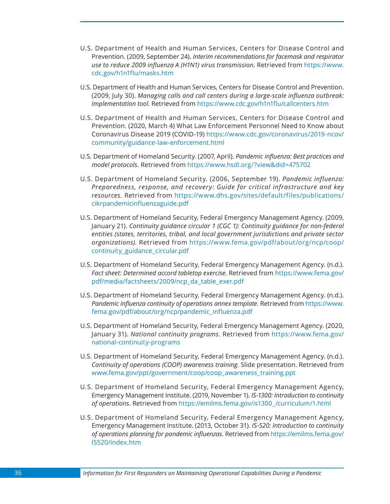- U.S. Department of Health and Human Services, Centers for Disease Control and Prevention. (2009, September 24). *Interim recommendations for facemask and respirator use to reduce 2009 influenza A (H1N1) virus transmission.* Retrieved from [https://www.](https://www.cdc.gov/h1n1flu/masks.htm) [cdc.gov/h1n1flu/masks.htm](https://www.cdc.gov/h1n1flu/masks.htm)
- U.S. Department of Health and Human Services, Centers for Disease Control and Prevention. (2009, July 30). *Managing calls and call centers during a large-scale influenza outbreak: Implementation tool.* Retrieved from <https://www.cdc.gov/h1n1flu/callcenters.htm>
- U.S. Department of Health and Human Services, Centers for Disease Control and Prevention. (2020, March 4) What Law Enforcement Personnel Need to Know about Coronavirus Disease 2019 (COVID-19) [https://www.cdc.gov/coronavirus/2019-ncov/](https://www.cdc.gov/coronavirus/2019-ncov/community/guidance-law-enforcement.html) [community/guidance-law-enforcement.html](https://www.cdc.gov/coronavirus/2019-ncov/community/guidance-law-enforcement.html)
- U.S. Department of Homeland Security. (2007, April). *Pandemic influenza: Best practices and model protocols.* Retrieved from<https://www.hsdl.org/?view&did=475702>
- U.S. Department of Homeland Security. (2006, September 19). *Pandemic influenza: Preparedness, response, and recovery: Guide for critical infrastructure and key resources.* Retrieved from [https://www.dhs.gov/sites/default/files/publications/](https://www.dhs.gov/sites/default/files/publications/cikrpandemicinfluenzaguide.pdf) [cikrpandemicinfluenzaguide.pdf](https://www.dhs.gov/sites/default/files/publications/cikrpandemicinfluenzaguide.pdf)
- U.S. Department of Homeland Security, Federal Emergency Management Agency. (2009, January 21). *Continuity guidance circular 1 (CGC 1): Continuity guidance for non-federal entities (states, territories, tribal, and local government jurisdictions and private sector organizations).* Retrieved from [https://www.fema.gov/pdf/about/org/ncp/coop/](https://www.fema.gov/pdf/about/org/ncp/coop/continuity_guidance_circular.pdf) continuity guidance circular.pdf
- U.S. Department of Homeland Security, Federal Emergency Management Agency. (n.d.). *Fact sheet: Determined accord tabletop exercise.* Retrieved from [https://www.fema.gov/](https://www.fema.gov/pdf/media/factsheets/2009/ncp_da_table_exer.pdf) [pdf/media/factsheets/2009/ncp\\_da\\_table\\_exer.pdf](https://www.fema.gov/pdf/media/factsheets/2009/ncp_da_table_exer.pdf)
- U.S. Department of Homeland Security, Federal Emergency Management Agency. (n.d.). *Pandemic influenza continuity of operations annex template.* Retrieved from [https://www.](https://www.fema.gov/pdf/about/org/ncp/pandemic_influenza.pdf) [fema.gov/pdf/about/org/ncp/pandemic\\_influenza.pdf](https://www.fema.gov/pdf/about/org/ncp/pandemic_influenza.pdf)
- U.S. Department of Homeland Security, Federal Emergency Management Agency. (2020, January 31). *National continuity programs.* Retrieved from [https://www.fema.gov/](https://www.fema.gov/national-continuity-programs) [national-continuity-programs](https://www.fema.gov/national-continuity-programs)
- U.S. Department of Homeland Security, Federal Emergency Management Agency. (n.d.). *Continuity of operations (COOP) awareness training.* Slide presentation. Retrieved from [www.fema.gov/ppt/government/coop/coop\\_awareness\\_training.ppt](http://www.fema.gov/ppt/government/coop/coop_awareness_training.ppt)
- U.S. Department of Homeland Security, Federal Emergency Management Agency, Emergency Management Institute. (2019, November 1). *IS-1300: Introduction to continuity of operations.* Retrieved from [https://emilms.fema.gov/is1300\\_/curriculum/1.html](https://emilms.fema.gov/is1300_/curriculum/1.html)
- U.S. Department of Homeland Security, Federal Emergency Management Agency, Emergency Management Institute. (2013, October 31). *IS-520: Introduction to continuity of operations planning for pandemic influenzas.* Retrieved from [https://emilms.fema.gov/](https://emilms.fema.gov/IS520/index.htm) [IS520/index.htm](https://emilms.fema.gov/IS520/index.htm)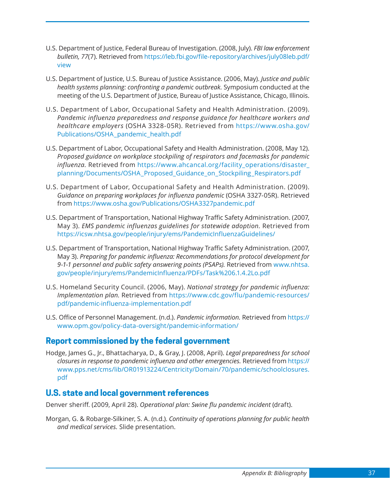- U.S. Department of Justice, Federal Bureau of Investigation. (2008, July). *FBI law enforcement bulletin, 77*(7). Retrieved from [https://leb.fbi.gov/file-repository/archives/july08leb.pdf/](https://leb.fbi.gov/file-repository/archives/july08leb.pdf/view) [view](https://leb.fbi.gov/file-repository/archives/july08leb.pdf/view)
- U.S. Department of Justice, U.S. Bureau of Justice Assistance. (2006, May). *Justice and public health systems planning: confronting a pandemic outbreak.* Symposium conducted at the meeting of the U.S. Department of Justice, Bureau of Justice Assistance, Chicago, Illinois.
- U.S. Department of Labor, Occupational Safety and Health Administration. (2009). *Pandemic influenza preparedness and response guidance for healthcare workers and healthcare employers* (OSHA 3328-05R). Retrieved from [https://www.osha.gov/](https://www.osha.gov/Publications/OSHA_pandemic_health.pdf) [Publications/OSHA\\_pandemic\\_health.pdf](https://www.osha.gov/Publications/OSHA_pandemic_health.pdf)
- U.S. Department of Labor, Occupational Safety and Health Administration. (2008, May 12). *Proposed guidance on workplace stockpiling of respirators and facemasks for pandemic influenza.* Retrieved from [https://www.ahcancal.org/facility\\_operations/disaster\\_](https://www.ahcancal.org/facility_operations/disaster_planning/Documents/OSHA_Proposed_Guidance_on_Stockpiling_Respirators.pdf) [planning/Documents/OSHA\\_Proposed\\_Guidance\\_on\\_Stockpiling\\_Respirators.pdf](https://www.ahcancal.org/facility_operations/disaster_planning/Documents/OSHA_Proposed_Guidance_on_Stockpiling_Respirators.pdf)
- U.S. Department of Labor, Occupational Safety and Health Administration. (2009). *Guidance on preparing workplaces for influenza pandemic* (OSHA 3327-05R). Retrieved from <https://www.osha.gov/Publications/OSHA3327pandemic.pdf>
- U.S. Department of Transportation, National Highway Traffic Safety Administration. (2007, May 3). *EMS pandemic influenzas guidelines for statewide adoption.* Retrieved from <https://icsw.nhtsa.gov/people/injury/ems/PandemicInfluenzaGuidelines/>
- U.S. Department of Transportation, National Highway Traffic Safety Administration. (2007, May 3). *Preparing for pandemic influenza: Recommendations for protocol development for 9-1-1 personnel and public safety answering points (PSAPs).* Retrieved from [www.nhtsa.](http://www.nhtsa.gov/people/injury/ems/PandemicInfluenza/PDFs/Task%206.1.4.2Lo.pdf) [gov/people/injury/ems/PandemicInfluenza/PDFs/Task%206.1.4.2Lo.pdf](http://www.nhtsa.gov/people/injury/ems/PandemicInfluenza/PDFs/Task%206.1.4.2Lo.pdf)
- U.S. Homeland Security Council. (2006, May). *National strategy for pandemic influenza: Implementation plan.* Retrieved from [https://www.cdc.gov/flu/pandemic-resources/](https://www.cdc.gov/flu/pandemic-resources/pdf/pandemic-influenza-implementation.pdf) [pdf/pandemic-influenza-implementation.pdf](https://www.cdc.gov/flu/pandemic-resources/pdf/pandemic-influenza-implementation.pdf)
- U.S. Office of Personnel Management. (n.d.). *Pandemic information.* Retrieved from [https://](https://www.opm.gov/policy-data-oversight/pandemic-information/) [www.opm.gov/policy-data-oversight/pandemic-information/](https://www.opm.gov/policy-data-oversight/pandemic-information/)

### **Report commissioned by the federal government**

Hodge, James G., Jr., Bhattacharya, D., & Gray, J. (2008, April). *Legal preparedness for school closures in response to pandemic influenza and other emergencies.* Retrieved from [https://](https://www.pps.net/cms/lib/OR01913224/Centricity/Domain/70/pandemic/schoolclosures.pdf) [www.pps.net/cms/lib/OR01913224/Centricity/Domain/70/pandemic/schoolclosures.](https://www.pps.net/cms/lib/OR01913224/Centricity/Domain/70/pandemic/schoolclosures.pdf) [pdf](https://www.pps.net/cms/lib/OR01913224/Centricity/Domain/70/pandemic/schoolclosures.pdf)

### **U.S. state and local government references**

Denver sheriff. (2009, April 28). *Operational plan: Swine flu pandemic incident* (draft).

Morgan, G. & Robarge-Silkiner, S. A. (n.d.). *Continuity of operations planning for public health and medical services.* Slide presentation.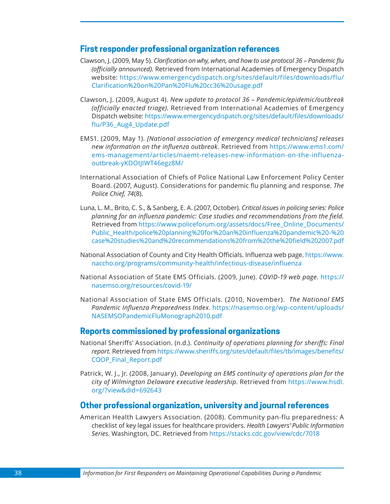#### **First responder professional organization references**

- Clawson, J. (2009, May 5). *Clarification on why, when, and how to use protocol 36 Pandemic flu (officially announced).* Retrieved from International Academies of Emergency Dispatch website: [https://www.emergencydispatch.org/sites/default/files/downloads/flu/](https://www.emergencydispatch.org/sites/default/files/downloads/flu/Clarification%20on%20Pan%20Flu%20cc36%20usage.pdf) [Clarification%20on%20Pan%20Flu%20cc36%20usage.pdf](https://www.emergencydispatch.org/sites/default/files/downloads/flu/Clarification%20on%20Pan%20Flu%20cc36%20usage.pdf)
- Clawson, J. (2009, August 4). *New update to protocol 36 Pandemic/epidemic/outbreak (officially enacted triage).* Retrieved from International Academies of Emergency Dispatch website: [https://www.emergencydispatch.org/sites/default/files/downloads/](https://www.emergencydispatch.org/sites/default/files/downloads/flu/P36_Aug4_Update.pdf) [flu/P36\\_Aug4\\_Update.pdf](https://www.emergencydispatch.org/sites/default/files/downloads/flu/P36_Aug4_Update.pdf)
- EMS1. (2009, May 1). *[National association of emergency medical technicians] releases new information on the influenza outbreak.* Retrieved from [https://www.ems1.com/](https://www.ems1.com/ems-management/articles/naemt-releases-new-information-on-the-influenza-outbreak-yKDOtJIWT46egz8M/) [ems-management/articles/naemt-releases-new-information-on-the-influenza](https://www.ems1.com/ems-management/articles/naemt-releases-new-information-on-the-influenza-outbreak-yKDOtJIWT46egz8M/)[outbreak-yKDOtJIWT46egz8M/](https://www.ems1.com/ems-management/articles/naemt-releases-new-information-on-the-influenza-outbreak-yKDOtJIWT46egz8M/)
- International Association of Chiefs of Police National Law Enforcement Policy Center Board. (2007, August). Considerations for pandemic flu planning and response. *The Police Chief, 74*(8).
- Luna, L. M., Brito, C. S., & Sanberg, E. A. (2007, October). *Critical issues in policing series: Police planning for an influenza pandemic: Case studies and recommendations from the field.* Retrieved from [https://www.policeforum.org/assets/docs/Free\\_Online\\_Documents/](https://www.policeforum.org/assets/docs/Free_Online_Documents/Public_Health/police%20planning%20for%20an%20influenza%20pandemic%20-%20case%20studies%20and%20recommendations%20from%20the%20field%202007.pdf) [Public\\_Health/police%20planning%20for%20an%20influenza%20pandemic%20-%20](https://www.policeforum.org/assets/docs/Free_Online_Documents/Public_Health/police%20planning%20for%20an%20influenza%20pandemic%20-%20case%20studies%20and%20recommendations%20from%20the%20field%202007.pdf) [case%20studies%20and%20recommendations%20from%20the%20field%202007.pdf](https://www.policeforum.org/assets/docs/Free_Online_Documents/Public_Health/police%20planning%20for%20an%20influenza%20pandemic%20-%20case%20studies%20and%20recommendations%20from%20the%20field%202007.pdf)
- National Association of County and City Health Officials. Influenza web page. [https://www.](https://www.naccho.org/programs/community-health/infectious-disease/influenza) [naccho.org/programs/community-health/infectious-disease/influenza](https://www.naccho.org/programs/community-health/infectious-disease/influenza)
- National Association of State EMS Officials. (2009, June). *COVID-19 web page.* [https://](https://nasemso.org/resources/covid-19/) [nasemso.org/resources/covid-19/](https://nasemso.org/resources/covid-19/)
- National Association of State EMS Officials. (2010, November). *The National EMS Pandemic Influenza Preparedness Index.* [https://nasemso.org/wp-content/uploads/](https://nasemso.org/wp-content/uploads/NASEMSOPandemicFluMonograph2010.pdf) [NASEMSOPandemicFluMonograph2010.pdf](https://nasemso.org/wp-content/uploads/NASEMSOPandemicFluMonograph2010.pdf)

#### **Reports commissioned by professional organizations**

- National Sheriffs' Association. (n.d.). *Continuity of operations planning for sheriffs: Final report.* Retrieved from [https://www.sheriffs.org/sites/default/files/tb/images/benefits/](https://www.sheriffs.org/sites/default/files/tb/images/benefits/COOP_Final_Report.pdf) [COOP\\_Final\\_Report.pdf](https://www.sheriffs.org/sites/default/files/tb/images/benefits/COOP_Final_Report.pdf)
- Patrick, W. J., Jr. (2008, January). *Developing an EMS continuity of operations plan for the city of Wilmington Delaware executive leadership.* Retrieved from [https://www.hsdl.](https://www.hsdl.org/?view&did=692643) [org/?view&did=692643](https://www.hsdl.org/?view&did=692643)

#### **Other professional organization, university and journal references**

American Health Lawyers Association. (2008). Community pan-flu preparedness: A checklist of key legal issues for healthcare providers. *Health Lawyers' Public Information Series.* Washington, DC. Retrieved from <https://stacks.cdc.gov/view/cdc/7018>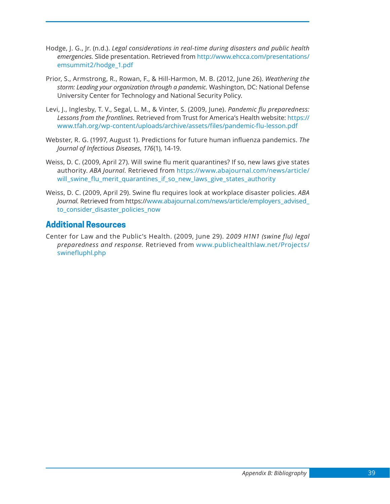- Hodge, J. G., Jr. (n.d.). *Legal considerations in real-time during disasters and public health emergencies.* Slide presentation. Retrieved from [http://www.ehcca.com/presentations/](http://www.ehcca.com/presentations/emsummit2/hodge_1.pdf) [emsummit2/hodge\\_1.pdf](http://www.ehcca.com/presentations/emsummit2/hodge_1.pdf)
- Prior, S., Armstrong, R., Rowan, F., & Hill-Harmon, M. B. (2012, June 26). *Weathering the storm: Leading your organization through a pandemic.* Washington, DC: National Defense University Center for Technology and National Security Policy.
- Levi, J., Inglesby, T. V., Segal, L. M., & Vinter, S. (2009, June). *Pandemic flu preparedness: Lessons from the frontlines.* Retrieved from Trust for America's Health website: [https://](https://www.tfah.org/wp-content/uploads/archive/assets/files/pandemic-flu-lesson.pdf) [www.tfah.org/wp-content/uploads/archive/assets/files/pandemic-flu-lesson.pdf](https://www.tfah.org/wp-content/uploads/archive/assets/files/pandemic-flu-lesson.pdf)
- Webster, R. G. (1997, August 1). Predictions for future human influenza pandemics. *The Journal of Infectious Diseases, 176*(1), 14-19.
- Weiss, D. C. (2009, April 27). Will swine flu merit quarantines? If so, new laws give states authority. *ABA Journal.* Retrieved from [https://www.abajournal.com/news/article/](https://www.abajournal.com/news/article/will_swine_flu_merit_quarantines_if_so_new_laws_give_states_authority) [will\\_swine\\_flu\\_merit\\_quarantines\\_if\\_so\\_new\\_laws\\_give\\_states\\_authority](https://www.abajournal.com/news/article/will_swine_flu_merit_quarantines_if_so_new_laws_give_states_authority)
- Weiss, D. C. (2009, April 29). Swine flu requires look at workplace disaster policies. *ABA Journal.* Retrieved from https://[www.abajournal.com/news/article/employers\\_advised\\_](http://www.abajournal.com/news/article/employers_advised_to_consider_disaster_policies_now) [to\\_consider\\_disaster\\_policies\\_now](http://www.abajournal.com/news/article/employers_advised_to_consider_disaster_policies_now)

### **Additional Resources**

Center for Law and the Public's Health. (2009, June 29). 2*009 H1N1 (swine flu) legal preparedness and response.* Retrieved from [www.publichealthlaw.net/Projects/](http://www.publichealthlaw.net/Projects/swinefluphl.php) [swinefluphl.php](http://www.publichealthlaw.net/Projects/swinefluphl.php)